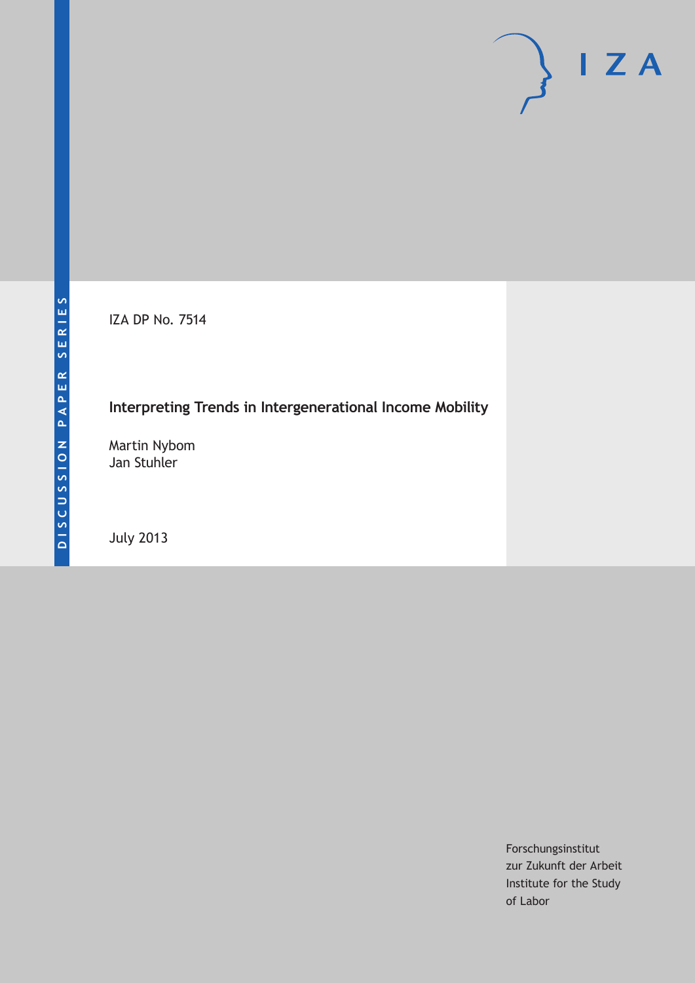IZA DP No. 7514

# **Interpreting Trends in Intergenerational Income Mobility**

Martin Nybom Jan Stuhler

July 2013

Forschungsinstitut zur Zukunft der Arbeit Institute for the Study of Labor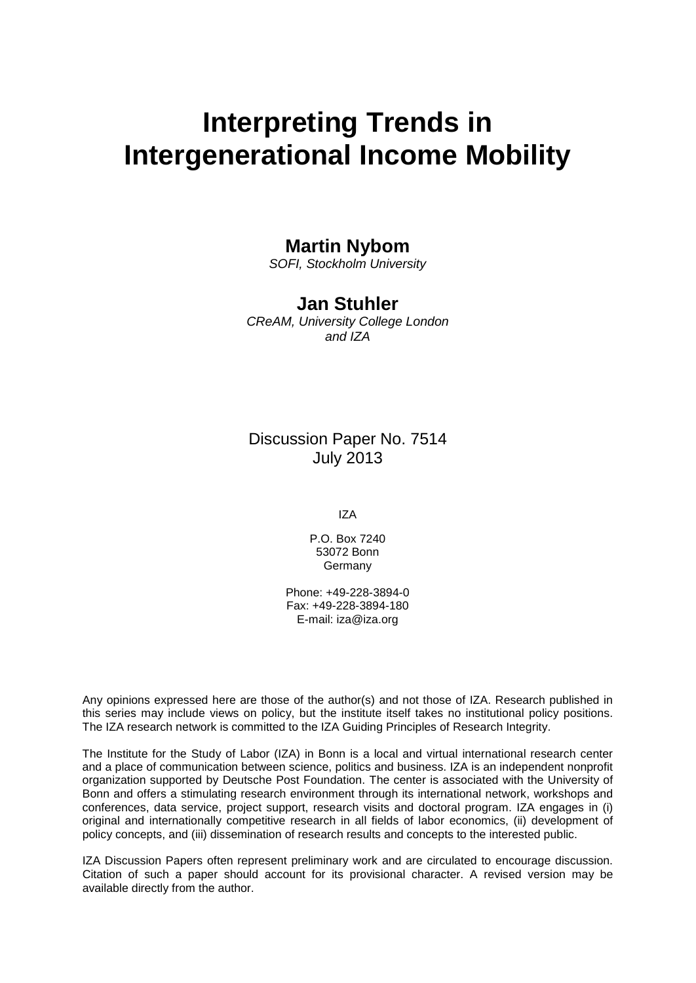# **Interpreting Trends in Intergenerational Income Mobility**

#### **Martin Nybom**

*SOFI, Stockholm University*

### **Jan Stuhler**

*CReAM, University College London and IZA*

### Discussion Paper No. 7514 July 2013

IZA

P.O. Box 7240 53072 Bonn Germany

Phone: +49-228-3894-0 Fax: +49-228-3894-180 E-mail: [iza@iza.org](mailto:iza@iza.org)

Any opinions expressed here are those of the author(s) and not those of IZA. Research published in this series may include views on policy, but the institute itself takes no institutional policy positions. The IZA research network is committed to the IZA Guiding Principles of Research Integrity.

The Institute for the Study of Labor (IZA) in Bonn is a local and virtual international research center and a place of communication between science, politics and business. IZA is an independent nonprofit organization supported by Deutsche Post Foundation. The center is associated with the University of Bonn and offers a stimulating research environment through its international network, workshops and conferences, data service, project support, research visits and doctoral program. IZA engages in (i) original and internationally competitive research in all fields of labor economics, (ii) development of policy concepts, and (iii) dissemination of research results and concepts to the interested public.

<span id="page-1-0"></span>IZA Discussion Papers often represent preliminary work and are circulated to encourage discussion. Citation of such a paper should account for its provisional character. A revised version may be available directly from the author.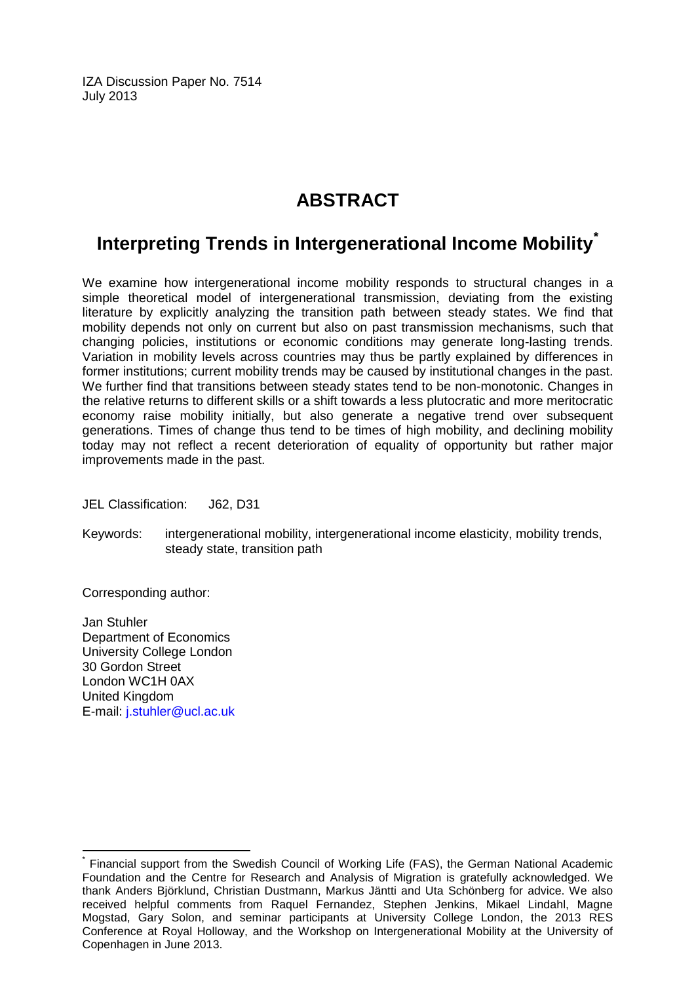IZA Discussion Paper No. 7514 July 2013

# **ABSTRACT**

# **Interpreting Trends in Intergenerational Income Mobility[\\*](#page-1-0)**

We examine how intergenerational income mobility responds to structural changes in a simple theoretical model of intergenerational transmission, deviating from the existing literature by explicitly analyzing the transition path between steady states. We find that mobility depends not only on current but also on past transmission mechanisms, such that changing policies, institutions or economic conditions may generate long-lasting trends. Variation in mobility levels across countries may thus be partly explained by differences in former institutions; current mobility trends may be caused by institutional changes in the past. We further find that transitions between steady states tend to be non-monotonic. Changes in the relative returns to different skills or a shift towards a less plutocratic and more meritocratic economy raise mobility initially, but also generate a negative trend over subsequent generations. Times of change thus tend to be times of high mobility, and declining mobility today may not reflect a recent deterioration of equality of opportunity but rather major improvements made in the past.

JEL Classification: J62, D31

Keywords: intergenerational mobility, intergenerational income elasticity, mobility trends, steady state, transition path

Corresponding author:

Jan Stuhler Department of Economics University College London 30 Gordon Street London WC1H 0AX United Kingdom E-mail: [j.stuhler@ucl.ac.uk](mailto:j.stuhler@ucl.ac.uk)

Financial support from the Swedish Council of Working Life (FAS), the German National Academic Foundation and the Centre for Research and Analysis of Migration is gratefully acknowledged. We thank Anders Björklund, Christian Dustmann, Markus Jäntti and Uta Schönberg for advice. We also received helpful comments from Raquel Fernandez, Stephen Jenkins, Mikael Lindahl, Magne Mogstad, Gary Solon, and seminar participants at University College London, the 2013 RES Conference at Royal Holloway, and the Workshop on Intergenerational Mobility at the University of Copenhagen in June 2013.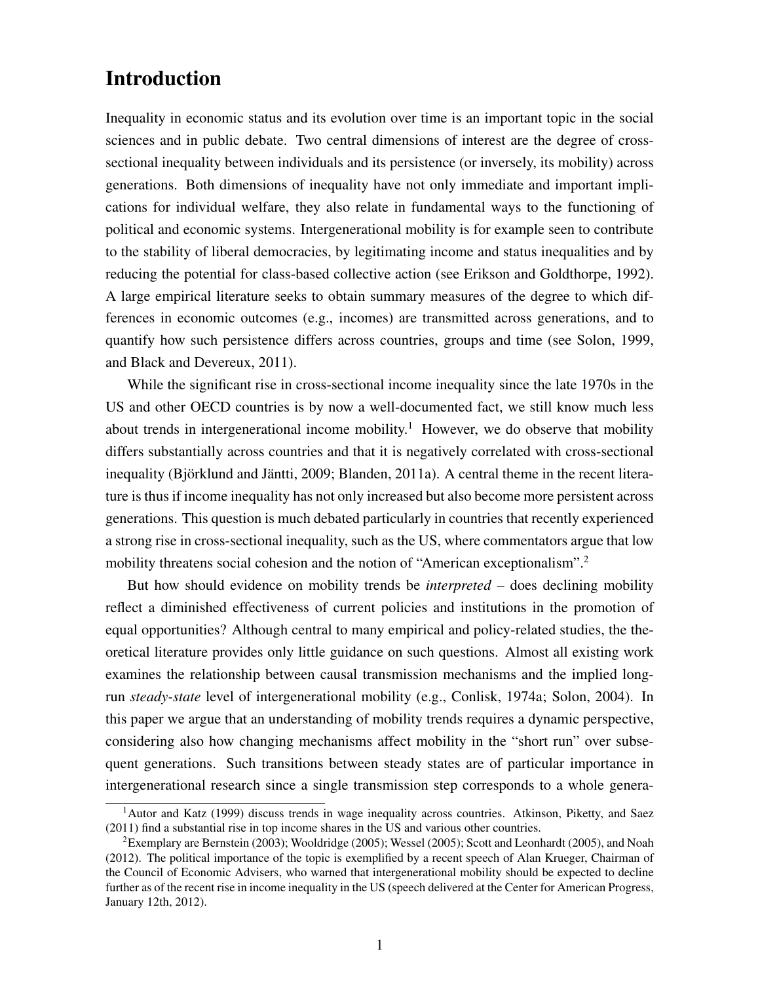# Introduction

Inequality in economic status and its evolution over time is an important topic in the social sciences and in public debate. Two central dimensions of interest are the degree of crosssectional inequality between individuals and its persistence (or inversely, its mobility) across generations. Both dimensions of inequality have not only immediate and important implications for individual welfare, they also relate in fundamental ways to the functioning of political and economic systems. Intergenerational mobility is for example seen to contribute to the stability of liberal democracies, by legitimating income and status inequalities and by reducing the potential for class-based collective action (see Erikson and Goldthorpe, 1992). A large empirical literature seeks to obtain summary measures of the degree to which differences in economic outcomes (e.g., incomes) are transmitted across generations, and to quantify how such persistence differs across countries, groups and time (see Solon, 1999, and Black and Devereux, 2011).

While the significant rise in cross-sectional income inequality since the late 1970s in the US and other OECD countries is by now a well-documented fact, we still know much less about trends in intergenerational income mobility.<sup>1</sup> However, we do observe that mobility differs substantially across countries and that it is negatively correlated with cross-sectional inequality (Björklund and Jäntti, 2009; Blanden, 2011a). A central theme in the recent literature is thus if income inequality has not only increased but also become more persistent across generations. This question is much debated particularly in countries that recently experienced a strong rise in cross-sectional inequality, such as the US, where commentators argue that low mobility threatens social cohesion and the notion of "American exceptionalism".2

But how should evidence on mobility trends be *interpreted* – does declining mobility reflect a diminished effectiveness of current policies and institutions in the promotion of equal opportunities? Although central to many empirical and policy-related studies, the theoretical literature provides only little guidance on such questions. Almost all existing work examines the relationship between causal transmission mechanisms and the implied longrun *steady-state* level of intergenerational mobility (e.g., Conlisk, 1974a; Solon, 2004). In this paper we argue that an understanding of mobility trends requires a dynamic perspective, considering also how changing mechanisms affect mobility in the "short run" over subsequent generations. Such transitions between steady states are of particular importance in intergenerational research since a single transmission step corresponds to a whole genera-

<sup>&</sup>lt;sup>1</sup>Autor and Katz (1999) discuss trends in wage inequality across countries. Atkinson, Piketty, and Saez (2011) find a substantial rise in top income shares in the US and various other countries.

<sup>2</sup>Exemplary are Bernstein (2003); Wooldridge (2005); Wessel (2005); Scott and Leonhardt (2005), and Noah (2012). The political importance of the topic is exemplified by a recent speech of Alan Krueger, Chairman of the Council of Economic Advisers, who warned that intergenerational mobility should be expected to decline further as of the recent rise in income inequality in the US (speech delivered at the Center for American Progress, January 12th, 2012).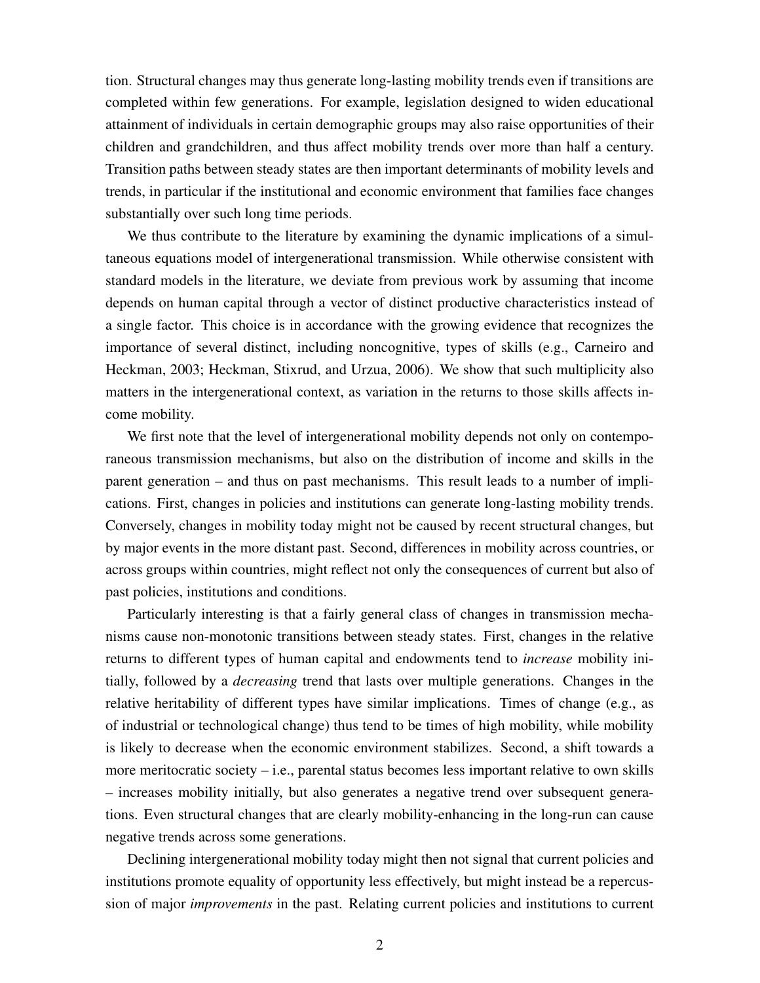tion. Structural changes may thus generate long-lasting mobility trends even if transitions are completed within few generations. For example, legislation designed to widen educational attainment of individuals in certain demographic groups may also raise opportunities of their children and grandchildren, and thus affect mobility trends over more than half a century. Transition paths between steady states are then important determinants of mobility levels and trends, in particular if the institutional and economic environment that families face changes substantially over such long time periods.

We thus contribute to the literature by examining the dynamic implications of a simultaneous equations model of intergenerational transmission. While otherwise consistent with standard models in the literature, we deviate from previous work by assuming that income depends on human capital through a vector of distinct productive characteristics instead of a single factor. This choice is in accordance with the growing evidence that recognizes the importance of several distinct, including noncognitive, types of skills (e.g., Carneiro and Heckman, 2003; Heckman, Stixrud, and Urzua, 2006). We show that such multiplicity also matters in the intergenerational context, as variation in the returns to those skills affects income mobility.

We first note that the level of intergenerational mobility depends not only on contemporaneous transmission mechanisms, but also on the distribution of income and skills in the parent generation – and thus on past mechanisms. This result leads to a number of implications. First, changes in policies and institutions can generate long-lasting mobility trends. Conversely, changes in mobility today might not be caused by recent structural changes, but by major events in the more distant past. Second, differences in mobility across countries, or across groups within countries, might reflect not only the consequences of current but also of past policies, institutions and conditions.

Particularly interesting is that a fairly general class of changes in transmission mechanisms cause non-monotonic transitions between steady states. First, changes in the relative returns to different types of human capital and endowments tend to *increase* mobility initially, followed by a *decreasing* trend that lasts over multiple generations. Changes in the relative heritability of different types have similar implications. Times of change (e.g., as of industrial or technological change) thus tend to be times of high mobility, while mobility is likely to decrease when the economic environment stabilizes. Second, a shift towards a more meritocratic society – i.e., parental status becomes less important relative to own skills – increases mobility initially, but also generates a negative trend over subsequent generations. Even structural changes that are clearly mobility-enhancing in the long-run can cause negative trends across some generations.

Declining intergenerational mobility today might then not signal that current policies and institutions promote equality of opportunity less effectively, but might instead be a repercussion of major *improvements* in the past. Relating current policies and institutions to current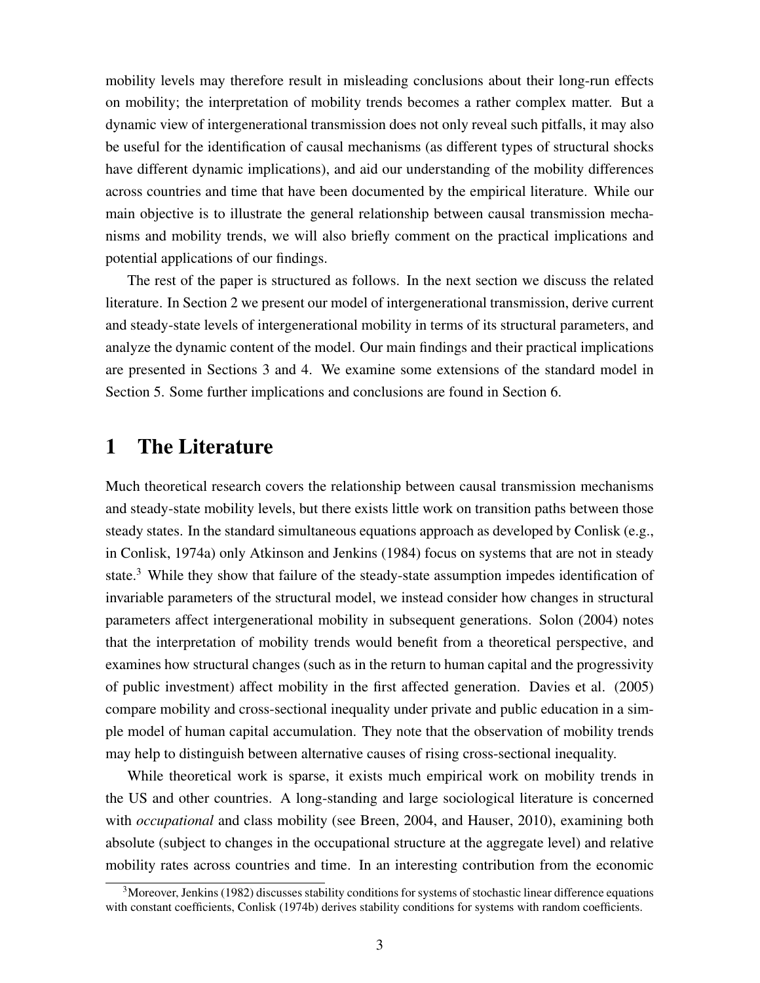mobility levels may therefore result in misleading conclusions about their long-run effects on mobility; the interpretation of mobility trends becomes a rather complex matter. But a dynamic view of intergenerational transmission does not only reveal such pitfalls, it may also be useful for the identification of causal mechanisms (as different types of structural shocks have different dynamic implications), and aid our understanding of the mobility differences across countries and time that have been documented by the empirical literature. While our main objective is to illustrate the general relationship between causal transmission mechanisms and mobility trends, we will also briefly comment on the practical implications and potential applications of our findings.

The rest of the paper is structured as follows. In the next section we discuss the related literature. In Section 2 we present our model of intergenerational transmission, derive current and steady-state levels of intergenerational mobility in terms of its structural parameters, and analyze the dynamic content of the model. Our main findings and their practical implications are presented in Sections 3 and 4. We examine some extensions of the standard model in Section 5. Some further implications and conclusions are found in Section 6.

### 1 The Literature

Much theoretical research covers the relationship between causal transmission mechanisms and steady-state mobility levels, but there exists little work on transition paths between those steady states. In the standard simultaneous equations approach as developed by Conlisk (e.g., in Conlisk, 1974a) only Atkinson and Jenkins (1984) focus on systems that are not in steady state.<sup>3</sup> While they show that failure of the steady-state assumption impedes identification of invariable parameters of the structural model, we instead consider how changes in structural parameters affect intergenerational mobility in subsequent generations. Solon (2004) notes that the interpretation of mobility trends would benefit from a theoretical perspective, and examines how structural changes (such as in the return to human capital and the progressivity of public investment) affect mobility in the first affected generation. Davies et al. (2005) compare mobility and cross-sectional inequality under private and public education in a simple model of human capital accumulation. They note that the observation of mobility trends may help to distinguish between alternative causes of rising cross-sectional inequality.

While theoretical work is sparse, it exists much empirical work on mobility trends in the US and other countries. A long-standing and large sociological literature is concerned with *occupational* and class mobility (see Breen, 2004, and Hauser, 2010), examining both absolute (subject to changes in the occupational structure at the aggregate level) and relative mobility rates across countries and time. In an interesting contribution from the economic

<sup>&</sup>lt;sup>3</sup>Moreover, Jenkins (1982) discusses stability conditions for systems of stochastic linear difference equations with constant coefficients, Conlisk (1974b) derives stability conditions for systems with random coefficients.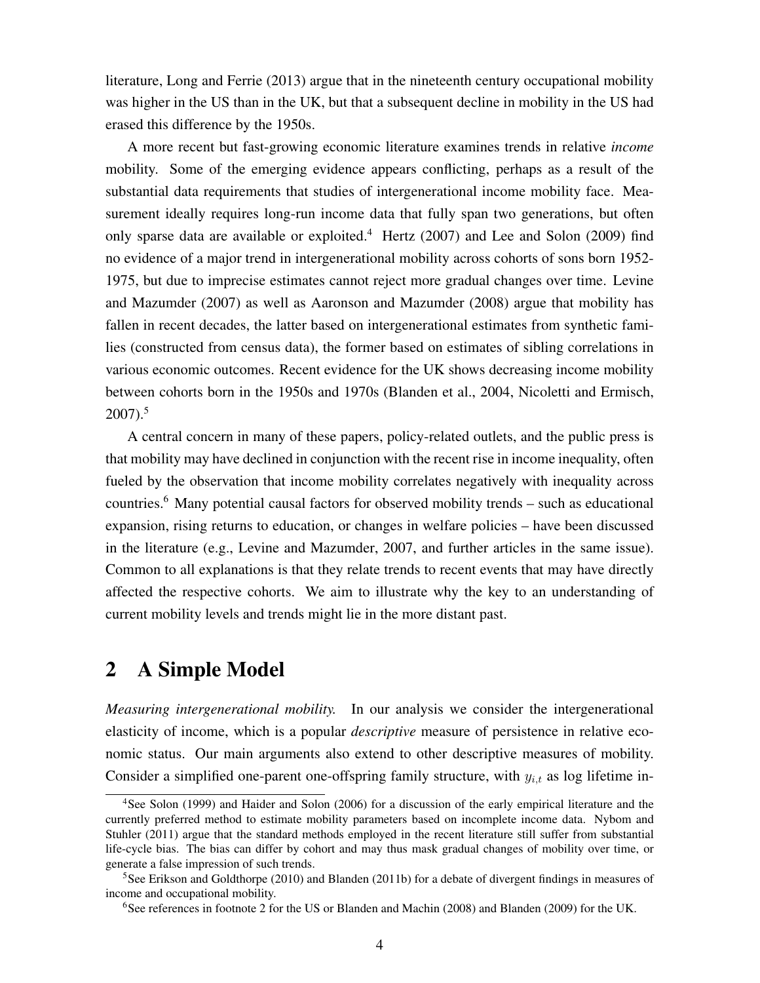literature, Long and Ferrie (2013) argue that in the nineteenth century occupational mobility was higher in the US than in the UK, but that a subsequent decline in mobility in the US had erased this difference by the 1950s.

A more recent but fast-growing economic literature examines trends in relative *income* mobility. Some of the emerging evidence appears conflicting, perhaps as a result of the substantial data requirements that studies of intergenerational income mobility face. Measurement ideally requires long-run income data that fully span two generations, but often only sparse data are available or exploited.<sup>4</sup> Hertz (2007) and Lee and Solon (2009) find no evidence of a major trend in intergenerational mobility across cohorts of sons born 1952- 1975, but due to imprecise estimates cannot reject more gradual changes over time. Levine and Mazumder (2007) as well as Aaronson and Mazumder (2008) argue that mobility has fallen in recent decades, the latter based on intergenerational estimates from synthetic families (constructed from census data), the former based on estimates of sibling correlations in various economic outcomes. Recent evidence for the UK shows decreasing income mobility between cohorts born in the 1950s and 1970s (Blanden et al., 2004, Nicoletti and Ermisch,  $2007$ ).<sup>5</sup>

A central concern in many of these papers, policy-related outlets, and the public press is that mobility may have declined in conjunction with the recent rise in income inequality, often fueled by the observation that income mobility correlates negatively with inequality across countries.6 Many potential causal factors for observed mobility trends – such as educational expansion, rising returns to education, or changes in welfare policies – have been discussed in the literature (e.g., Levine and Mazumder, 2007, and further articles in the same issue). Common to all explanations is that they relate trends to recent events that may have directly affected the respective cohorts. We aim to illustrate why the key to an understanding of current mobility levels and trends might lie in the more distant past.

# 2 A Simple Model

*Measuring intergenerational mobility.* In our analysis we consider the intergenerational elasticity of income, which is a popular *descriptive* measure of persistence in relative economic status. Our main arguments also extend to other descriptive measures of mobility. Consider a simplified one-parent one-offspring family structure, with  $y_{i,t}$  as log lifetime in-

<sup>4</sup>See Solon (1999) and Haider and Solon (2006) for a discussion of the early empirical literature and the currently preferred method to estimate mobility parameters based on incomplete income data. Nybom and Stuhler (2011) argue that the standard methods employed in the recent literature still suffer from substantial life-cycle bias. The bias can differ by cohort and may thus mask gradual changes of mobility over time, or generate a false impression of such trends.

<sup>5</sup>See Erikson and Goldthorpe (2010) and Blanden (2011b) for a debate of divergent findings in measures of income and occupational mobility.

<sup>6</sup>See references in footnote 2 for the US or Blanden and Machin (2008) and Blanden (2009) for the UK.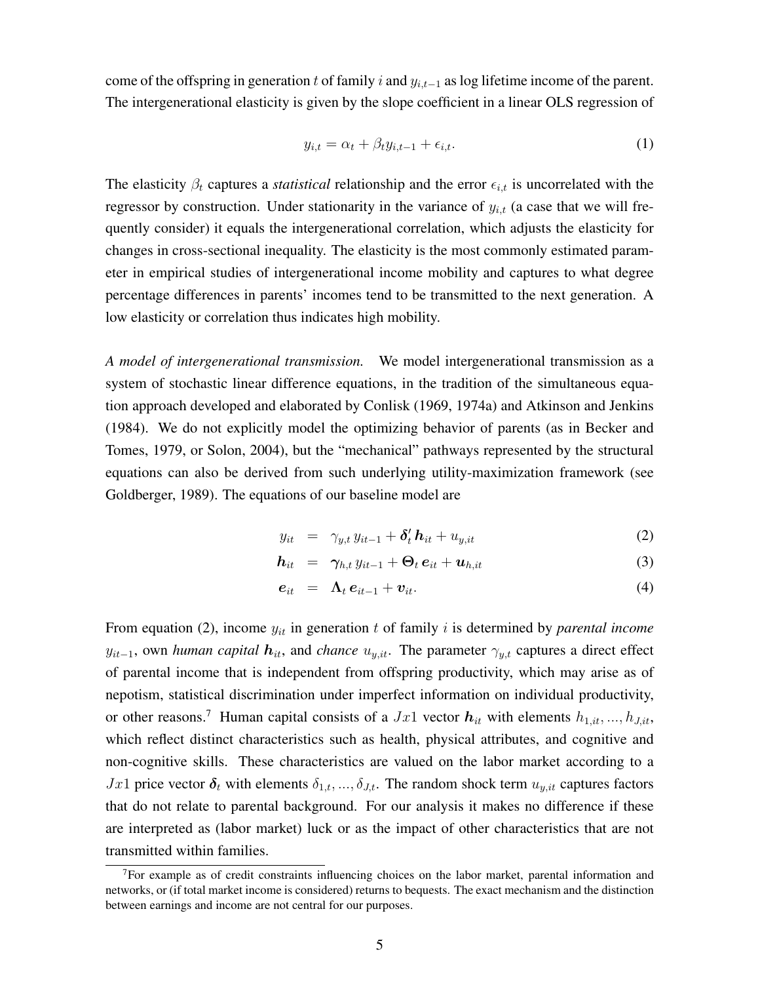come of the offspring in generation t of family i and y*i,t*−<sup>1</sup> as log lifetime income of the parent. The intergenerational elasticity is given by the slope coefficient in a linear OLS regression of

$$
y_{i,t} = \alpha_t + \beta_t y_{i,t-1} + \epsilon_{i,t}.
$$
 (1)

The elasticity  $\beta_t$  captures a *statistical* relationship and the error  $\epsilon_{i,t}$  is uncorrelated with the regressor by construction. Under stationarity in the variance of  $y_{i,t}$  (a case that we will frequently consider) it equals the intergenerational correlation, which adjusts the elasticity for changes in cross-sectional inequality. The elasticity is the most commonly estimated parameter in empirical studies of intergenerational income mobility and captures to what degree percentage differences in parents' incomes tend to be transmitted to the next generation. A low elasticity or correlation thus indicates high mobility.

*A model of intergenerational transmission.* We model intergenerational transmission as a system of stochastic linear difference equations, in the tradition of the simultaneous equation approach developed and elaborated by Conlisk (1969, 1974a) and Atkinson and Jenkins (1984). We do not explicitly model the optimizing behavior of parents (as in Becker and Tomes, 1979, or Solon, 2004), but the "mechanical" pathways represented by the structural equations can also be derived from such underlying utility-maximization framework (see Goldberger, 1989). The equations of our baseline model are

$$
y_{it} = \gamma_{y,t} y_{it-1} + \delta'_t h_{it} + u_{y,it} \tag{2}
$$

$$
\boldsymbol{h}_{it} = \boldsymbol{\gamma}_{h,t} y_{it-1} + \boldsymbol{\Theta}_t \boldsymbol{e}_{it} + \boldsymbol{u}_{h,it}
$$
 (3)

$$
e_{it} = \Lambda_t e_{it-1} + v_{it}. \tag{4}
$$

From equation (2), income y*it* in generation t of family i is determined by *parental income*  $y_{it-1}$ , own *human capital*  $h_{it}$ , and *chance*  $u_{y,it}$ . The parameter  $\gamma_{y,t}$  captures a direct effect of parental income that is independent from offspring productivity, which may arise as of nepotism, statistical discrimination under imperfect information on individual productivity, or other reasons.<sup>7</sup> Human capital consists of a  $Jx1$  vector  $h_{it}$  with elements  $h_{1,it},...,h_{J,it}$ , which reflect distinct characteristics such as health, physical attributes, and cognitive and non-cognitive skills. These characteristics are valued on the labor market according to a  $Jx1$  price vector  $\delta_t$  with elements  $\delta_{1,t},...,\delta_{J,t}$ . The random shock term  $u_{y,it}$  captures factors that do not relate to parental background. For our analysis it makes no difference if these are interpreted as (labor market) luck or as the impact of other characteristics that are not transmitted within families.

<sup>7</sup>For example as of credit constraints influencing choices on the labor market, parental information and networks, or (if total market income is considered) returns to bequests. The exact mechanism and the distinction between earnings and income are not central for our purposes.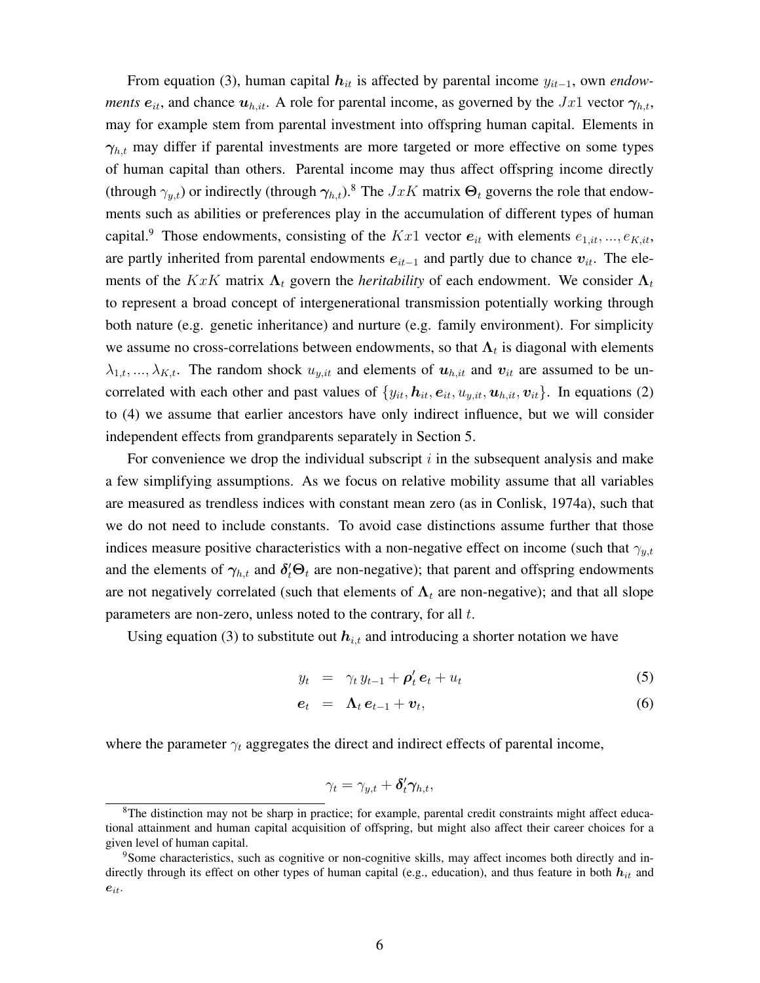From equation (3), human capital h*it* is affected by parental income y*it*−<sup>1</sup>, own *endowments*  $e_{it}$ , and chance  $u_{h,it}$ . A role for parental income, as governed by the  $Jx1$  vector  $\gamma_{h,t}$ , may for example stem from parental investment into offspring human capital. Elements in  $\gamma_{h,t}$  may differ if parental investments are more targeted or more effective on some types of human capital than others. Parental income may thus affect offspring income directly (through  $\gamma_{u,t}$ ) or indirectly (through  $\gamma_{h,t}$ ).<sup>8</sup> The  $JxK$  matrix  $\Theta_t$  governs the role that endowments such as abilities or preferences play in the accumulation of different types of human capital.<sup>9</sup> Those endowments, consisting of the  $Kx1$  vector  $e_{it}$  with elements  $e_{1,it},...,e_{K,it}$ , are partly inherited from parental endowments e*it*−<sup>1</sup> and partly due to chance v*it*. The elements of the  $KxK$  matrix  $\Lambda_t$  govern the *heritability* of each endowment. We consider  $\Lambda_t$ to represent a broad concept of intergenerational transmission potentially working through both nature (e.g. genetic inheritance) and nurture (e.g. family environment). For simplicity we assume no cross-correlations between endowments, so that  $\Lambda_t$  is diagonal with elements  $\lambda_{1,t},...,\lambda_{K,t}$ . The random shock  $u_{y,it}$  and elements of  $u_{h,it}$  and  $v_{it}$  are assumed to be uncorrelated with each other and past values of  $\{y_{it}, h_{it}, e_{it}, u_{y, it}, u_{h, it}, v_{it}\}$ . In equations (2) to (4) we assume that earlier ancestors have only indirect influence, but we will consider independent effects from grandparents separately in Section 5.

For convenience we drop the individual subscript  $i$  in the subsequent analysis and make a few simplifying assumptions. As we focus on relative mobility assume that all variables are measured as trendless indices with constant mean zero (as in Conlisk, 1974a), such that we do not need to include constants. To avoid case distinctions assume further that those indices measure positive characteristics with a non-negative effect on income (such that  $\gamma_{y,t}$ and the elements of  $\gamma_{h,t}$  and  $\delta_t' \Theta_t$  are non-negative); that parent and offspring endowments are not negatively correlated (such that elements of  $\Lambda_t$  are non-negative); and that all slope parameters are non-zero, unless noted to the contrary, for all t.

Using equation (3) to substitute out  $h_{i,t}$  and introducing a shorter notation we have

$$
y_t = \gamma_t y_{t-1} + \rho'_t e_t + u_t \tag{5}
$$

$$
e_t = \Lambda_t e_{t-1} + v_t, \tag{6}
$$

where the parameter  $\gamma_t$  aggregates the direct and indirect effects of parental income,

$$
\gamma_t = \gamma_{y,t} + \boldsymbol{\delta}_t' \boldsymbol{\gamma}_{h,t},
$$

<sup>&</sup>lt;sup>8</sup>The distinction may not be sharp in practice; for example, parental credit constraints might affect educational attainment and human capital acquisition of offspring, but might also affect their career choices for a given level of human capital.

<sup>9</sup>Some characteristics, such as cognitive or non-cognitive skills, may affect incomes both directly and indirectly through its effect on other types of human capital (e.g., education), and thus feature in both  $h_{it}$  and e*it*.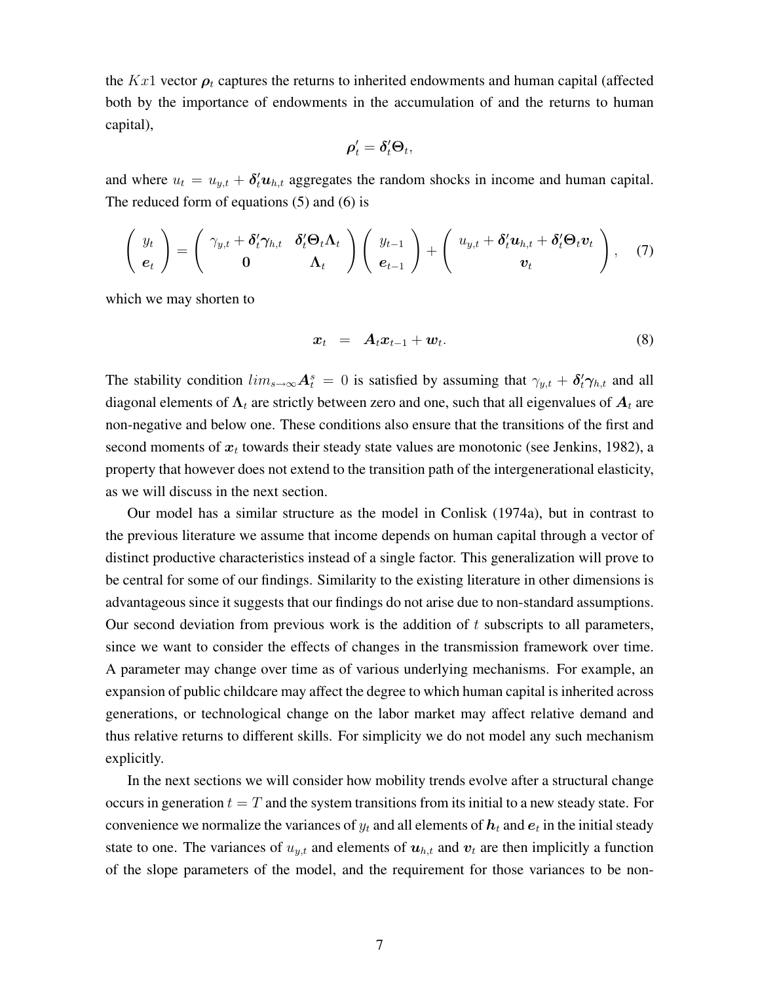the  $Kx1$  vector  $\rho_t$  captures the returns to inherited endowments and human capital (affected both by the importance of endowments in the accumulation of and the returns to human capital),

$$
\boldsymbol{\rho}'_t = \boldsymbol{\delta}'_t \boldsymbol{\Theta}_t,
$$

and where  $u_t = u_{y,t} + \delta_t^t u_{h,t}$  aggregates the random shocks in income and human capital. The reduced form of equations (5) and (6) is

$$
\begin{pmatrix} y_t \\ e_t \end{pmatrix} = \begin{pmatrix} \gamma_{y,t} + \delta'_t \gamma_{h,t} & \delta'_t \Theta_t \Lambda_t \\ 0 & \Lambda_t \end{pmatrix} \begin{pmatrix} y_{t-1} \\ e_{t-1} \end{pmatrix} + \begin{pmatrix} u_{y,t} + \delta'_t u_{h,t} + \delta'_t \Theta_t v_t \\ v_t \end{pmatrix}, \quad (7)
$$

which we may shorten to

$$
\boldsymbol{x}_t = \boldsymbol{A}_t \boldsymbol{x}_{t-1} + \boldsymbol{w}_t. \tag{8}
$$

The stability condition  $lim_{s\to\infty} A_t^s = 0$  is satisfied by assuming that  $\gamma_{y,t} + \delta'_t \gamma_{h,t}$  and all diagonal elements of  $\Lambda_t$  are strictly between zero and one, such that all eigenvalues of  $A_t$  are non-negative and below one. These conditions also ensure that the transitions of the first and second moments of  $x_t$  towards their steady state values are monotonic (see Jenkins, 1982), a property that however does not extend to the transition path of the intergenerational elasticity, as we will discuss in the next section.

Our model has a similar structure as the model in Conlisk (1974a), but in contrast to the previous literature we assume that income depends on human capital through a vector of distinct productive characteristics instead of a single factor. This generalization will prove to be central for some of our findings. Similarity to the existing literature in other dimensions is advantageous since it suggests that our findings do not arise due to non-standard assumptions. Our second deviation from previous work is the addition of  $t$  subscripts to all parameters, since we want to consider the effects of changes in the transmission framework over time. A parameter may change over time as of various underlying mechanisms. For example, an expansion of public childcare may affect the degree to which human capital is inherited across generations, or technological change on the labor market may affect relative demand and thus relative returns to different skills. For simplicity we do not model any such mechanism explicitly.

In the next sections we will consider how mobility trends evolve after a structural change occurs in generation  $t = T$  and the system transitions from its initial to a new steady state. For convenience we normalize the variances of  $y_t$  and all elements of  $h_t$  and  $e_t$  in the initial steady state to one. The variances of  $u_{y,t}$  and elements of  $u_{h,t}$  and  $v_t$  are then implicitly a function of the slope parameters of the model, and the requirement for those variances to be non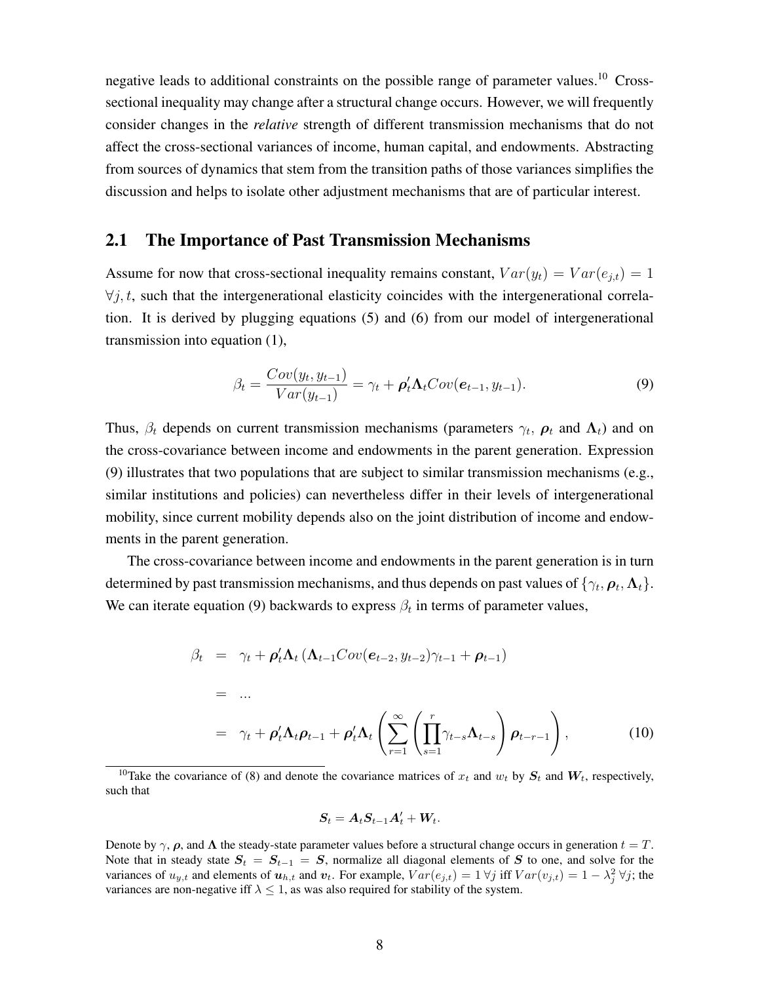negative leads to additional constraints on the possible range of parameter values.<sup>10</sup> Crosssectional inequality may change after a structural change occurs. However, we will frequently consider changes in the *relative* strength of different transmission mechanisms that do not affect the cross-sectional variances of income, human capital, and endowments. Abstracting from sources of dynamics that stem from the transition paths of those variances simplifies the discussion and helps to isolate other adjustment mechanisms that are of particular interest.

#### 2.1 The Importance of Past Transmission Mechanisms

Assume for now that cross-sectional inequality remains constant,  $Var(y_t) = Var(e_{it}) = 1$  $\forall j, t$ , such that the intergenerational elasticity coincides with the intergenerational correlation. It is derived by plugging equations (5) and (6) from our model of intergenerational transmission into equation (1),

$$
\beta_t = \frac{Cov(y_t, y_{t-1})}{Var(y_{t-1})} = \gamma_t + \boldsymbol{\rho}_t' \boldsymbol{\Lambda}_t Cov(\boldsymbol{e}_{t-1}, y_{t-1}).
$$
\n(9)

Thus,  $\beta_t$  depends on current transmission mechanisms (parameters  $\gamma_t$ ,  $\rho_t$  and  $\Lambda_t$ ) and on the cross-covariance between income and endowments in the parent generation. Expression (9) illustrates that two populations that are subject to similar transmission mechanisms (e.g., similar institutions and policies) can nevertheless differ in their levels of intergenerational mobility, since current mobility depends also on the joint distribution of income and endowments in the parent generation.

The cross-covariance between income and endowments in the parent generation is in turn determined by past transmission mechanisms, and thus depends on past values of  $\{\gamma_t, \rho_t, \Lambda_t\}$ . We can iterate equation (9) backwards to express  $\beta_t$  in terms of parameter values,

$$
\beta_t = \gamma_t + \rho'_t \Lambda_t (\Lambda_{t-1}Cov(e_{t-2}, y_{t-2})\gamma_{t-1} + \rho_{t-1})
$$
\n
$$
= ...
$$
\n
$$
= \gamma_t + \rho'_t \Lambda_t \rho_{t-1} + \rho'_t \Lambda_t \left( \sum_{r=1}^{\infty} \left( \prod_{s=1}^r \gamma_{t-s} \Lambda_{t-s} \right) \rho_{t-r-1} \right), \qquad (10)
$$

<sup>10</sup>Take the covariance of (8) and denote the covariance matrices of  $x_t$  and  $w_t$  by  $S_t$  and  $W_t$ , respectively, such that

$$
\boldsymbol{S}_t = \boldsymbol{A}_t \boldsymbol{S}_{t-1} \boldsymbol{A}_t' + \boldsymbol{W}_t.
$$

Denote by  $\gamma$ ,  $\rho$ , and  $\Lambda$  the steady-state parameter values before a structural change occurs in generation  $t = T$ . Note that in steady state  $S_t = S_{t-1} = S$ , normalize all diagonal elements of S to one, and solve for the variances of  $u_{y,t}$  and elements of  $u_{h,t}$  and  $v_t$ . For example,  $Var(e_{j,t}) = 1 \ \forall j$  iff  $Var(v_{j,t}) = 1 - \lambda_j^2 \ \forall j$ ; the variances are non-negative iff  $\lambda \leq 1$ , as was also required for stability of the system.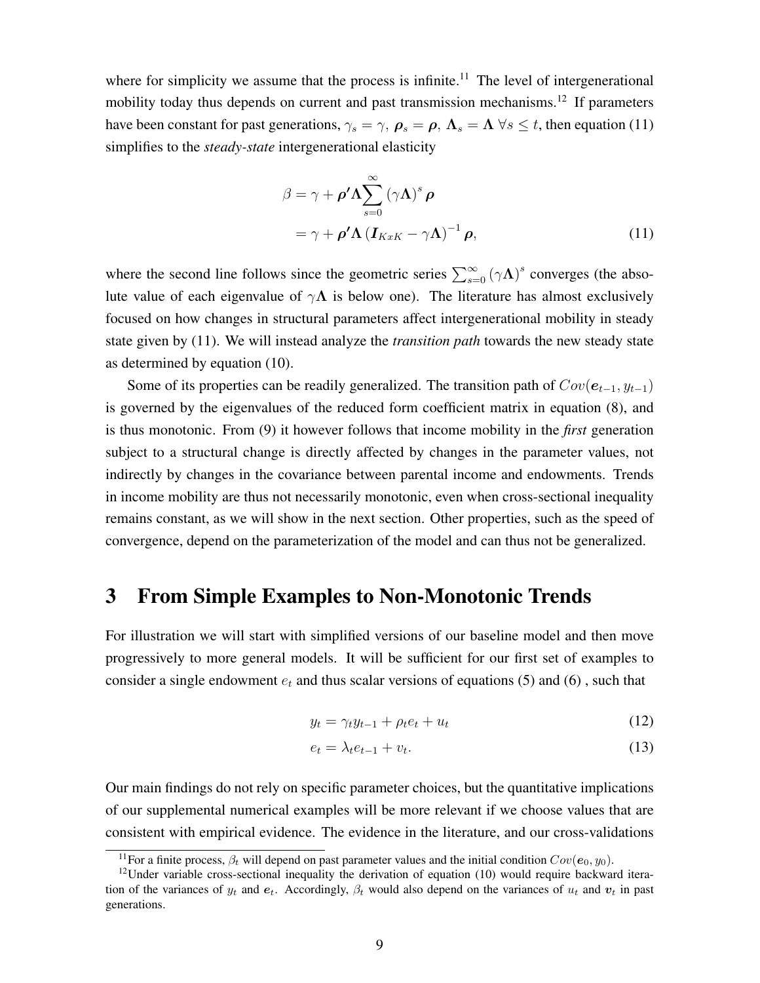where for simplicity we assume that the process is infinite.<sup>11</sup> The level of intergenerational mobility today thus depends on current and past transmission mechanisms.<sup>12</sup> If parameters have been constant for past generations,  $\gamma_s = \gamma$ ,  $\rho_s = \rho$ ,  $\Lambda_s = \Lambda \,\forall s \leq t$ , then equation (11) simplifies to the *steady-state* intergenerational elasticity

$$
\beta = \gamma + \rho' \Lambda \sum_{s=0}^{\infty} (\gamma \Lambda)^s \rho
$$
  
=  $\gamma + \rho' \Lambda (I_{KxK} - \gamma \Lambda)^{-1} \rho,$  (11)

where the second line follows since the geometric series  $\sum_{s=0}^{\infty} (\gamma \Lambda)^s$  converges (the absolute value of each eigenvalue of  $\gamma \Lambda$  is below one). The literature has almost exclusively focused on how changes in structural parameters affect intergenerational mobility in steady state given by (11). We will instead analyze the *transition path* towards the new steady state as determined by equation (10).

Some of its properties can be readily generalized. The transition path of  $Cov(e_{t-1}, y_{t-1})$ is governed by the eigenvalues of the reduced form coefficient matrix in equation (8), and is thus monotonic. From (9) it however follows that income mobility in the *first* generation subject to a structural change is directly affected by changes in the parameter values, not indirectly by changes in the covariance between parental income and endowments. Trends in income mobility are thus not necessarily monotonic, even when cross-sectional inequality remains constant, as we will show in the next section. Other properties, such as the speed of convergence, depend on the parameterization of the model and can thus not be generalized.

### 3 From Simple Examples to Non-Monotonic Trends

For illustration we will start with simplified versions of our baseline model and then move progressively to more general models. It will be sufficient for our first set of examples to consider a single endowment  $e_t$  and thus scalar versions of equations (5) and (6), such that

$$
y_t = \gamma_t y_{t-1} + \rho_t e_t + u_t \tag{12}
$$

$$
e_t = \lambda_t e_{t-1} + v_t. \tag{13}
$$

Our main findings do not rely on specific parameter choices, but the quantitative implications of our supplemental numerical examples will be more relevant if we choose values that are consistent with empirical evidence. The evidence in the literature, and our cross-validations

<sup>&</sup>lt;sup>11</sup>For a finite process,  $\beta_t$  will depend on past parameter values and the initial condition  $Cov(e_0, y_0)$ .<br><sup>12</sup>Under variable cross-sectional inequality the derivation of equation (10) would require backward itera-

tion of the variances of  $y_t$  and  $e_t$ . Accordingly,  $\beta_t$  would also depend on the variances of  $u_t$  and  $v_t$  in past generations.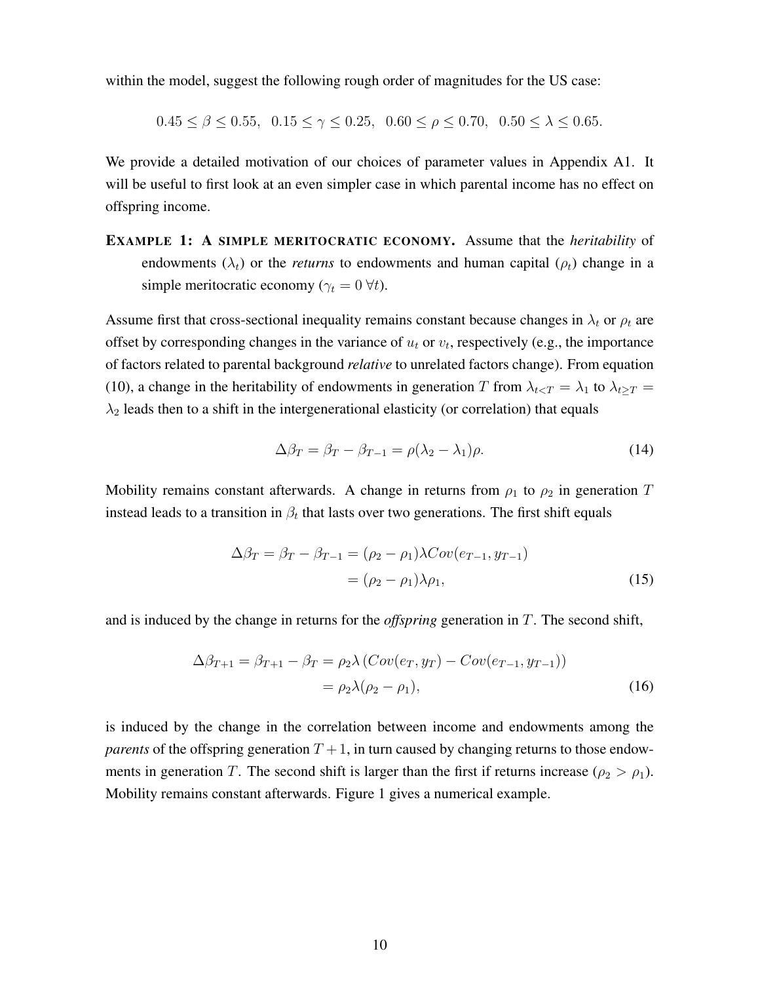within the model, suggest the following rough order of magnitudes for the US case:

$$
0.45 \le \beta \le 0.55, \ \ 0.15 \le \gamma \le 0.25, \ \ 0.60 \le \rho \le 0.70, \ \ 0.50 \le \lambda \le 0.65.
$$

We provide a detailed motivation of our choices of parameter values in Appendix A1. It will be useful to first look at an even simpler case in which parental income has no effect on offspring income.

EXAMPLE 1: A SIMPLE MERITOCRATIC ECONOMY. Assume that the *heritability* of endowments  $(\lambda_t)$  or the *returns* to endowments and human capital ( $\rho_t$ ) change in a simple meritocratic economy ( $\gamma_t = 0 \forall t$ ).

Assume first that cross-sectional inequality remains constant because changes in  $\lambda_t$  or  $\rho_t$  are offset by corresponding changes in the variance of  $u_t$  or  $v_t$ , respectively (e.g., the importance of factors related to parental background *relative* to unrelated factors change). From equation (10), a change in the heritability of endowments in generation T from  $\lambda_{t \le T} = \lambda_1$  to  $\lambda_{t \ge T} =$  $\lambda_2$  leads then to a shift in the intergenerational elasticity (or correlation) that equals

$$
\Delta \beta_T = \beta_T - \beta_{T-1} = \rho(\lambda_2 - \lambda_1)\rho. \tag{14}
$$

Mobility remains constant afterwards. A change in returns from  $\rho_1$  to  $\rho_2$  in generation T instead leads to a transition in  $\beta_t$  that lasts over two generations. The first shift equals

$$
\Delta \beta_T = \beta_T - \beta_{T-1} = (\rho_2 - \rho_1) \lambda Cov(e_{T-1}, y_{T-1})
$$

$$
= (\rho_2 - \rho_1) \lambda \rho_1,
$$
(15)

and is induced by the change in returns for the *offspring* generation in T. The second shift,

$$
\Delta \beta_{T+1} = \beta_{T+1} - \beta_T = \rho_2 \lambda (Cov(e_T, y_T) - Cov(e_{T-1}, y_{T-1}))
$$
  
=  $\rho_2 \lambda (\rho_2 - \rho_1),$  (16)

is induced by the change in the correlation between income and endowments among the *parents* of the offspring generation  $T + 1$ , in turn caused by changing returns to those endowments in generation T. The second shift is larger than the first if returns increase ( $\rho_2 > \rho_1$ ). Mobility remains constant afterwards. Figure 1 gives a numerical example.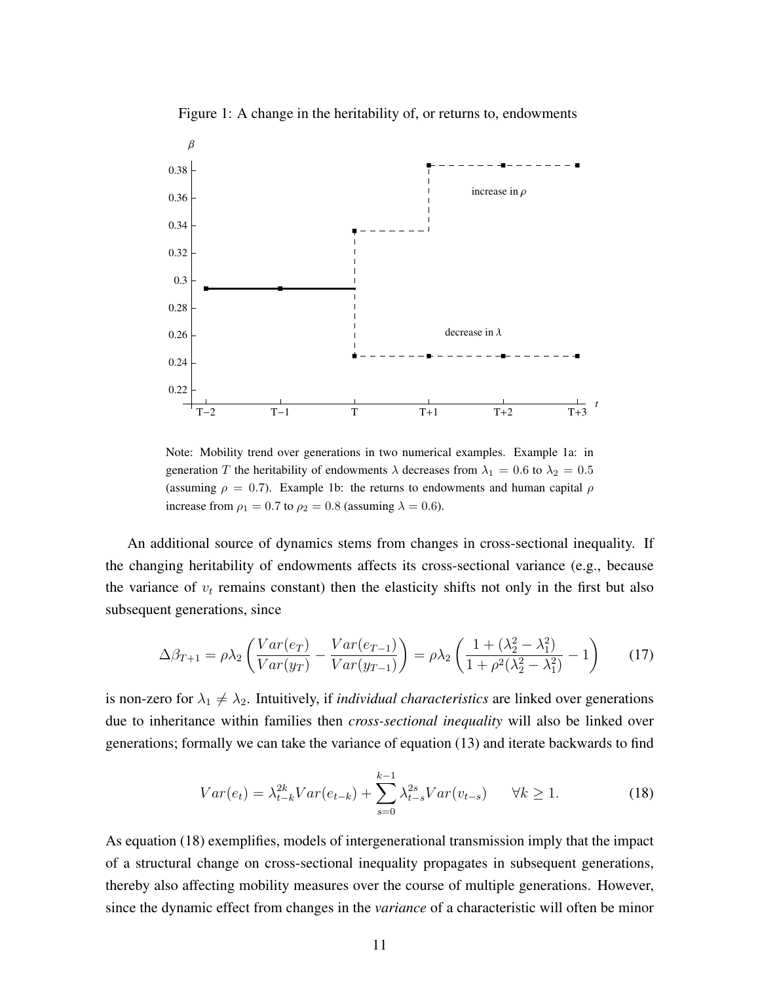

Figure 1: A change in the heritability of, or returns to, endowments

Note: Mobility trend over generations in two numerical examples. Example 1a: in generation T the heritability of endowments  $\lambda$  decreases from  $\lambda_1 = 0.6$  to  $\lambda_2 = 0.5$ (assuming  $\rho = 0.7$ ). Example 1b: the returns to endowments and human capital  $\rho$ increase from  $\rho_1 = 0.7$  to  $\rho_2 = 0.8$  (assuming  $\lambda = 0.6$ ).

An additional source of dynamics stems from changes in cross-sectional inequality. If the changing heritability of endowments affects its cross-sectional variance (e.g., because the variance of  $v_t$  remains constant) then the elasticity shifts not only in the first but also subsequent generations, since

$$
\Delta \beta_{T+1} = \rho \lambda_2 \left( \frac{Var(e_T)}{Var(y_T)} - \frac{Var(e_{T-1})}{Var(y_{T-1})} \right) = \rho \lambda_2 \left( \frac{1 + (\lambda_2^2 - \lambda_1^2)}{1 + \rho^2(\lambda_2^2 - \lambda_1^2)} - 1 \right) \tag{17}
$$

is non-zero for  $\lambda_1 \neq \lambda_2$ . Intuitively, if *individual characteristics* are linked over generations due to inheritance within families then *cross-sectional inequality* will also be linked over generations; formally we can take the variance of equation (13) and iterate backwards to find

$$
Var(e_t) = \lambda_{t-k}^{2k} Var(e_{t-k}) + \sum_{s=0}^{k-1} \lambda_{t-s}^{2s} Var(v_{t-s}) \quad \forall k \ge 1.
$$
 (18)

As equation (18) exemplifies, models of intergenerational transmission imply that the impact of a structural change on cross-sectional inequality propagates in subsequent generations, thereby also affecting mobility measures over the course of multiple generations. However, since the dynamic effect from changes in the *variance* of a characteristic will often be minor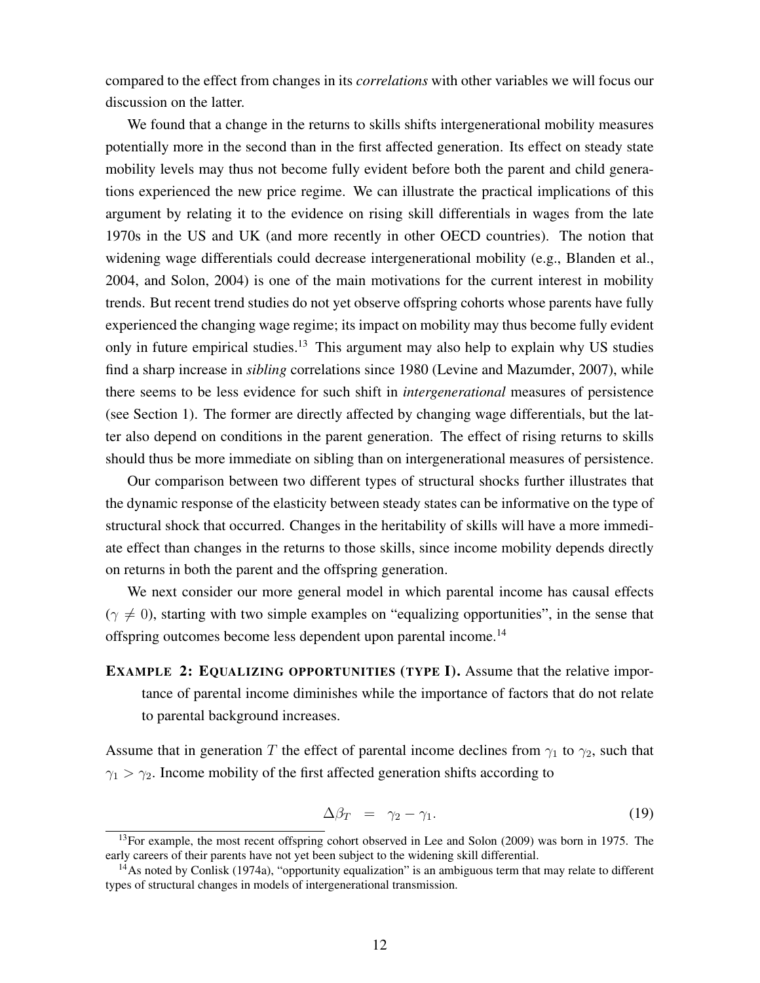compared to the effect from changes in its *correlations* with other variables we will focus our discussion on the latter.

We found that a change in the returns to skills shifts intergenerational mobility measures potentially more in the second than in the first affected generation. Its effect on steady state mobility levels may thus not become fully evident before both the parent and child generations experienced the new price regime. We can illustrate the practical implications of this argument by relating it to the evidence on rising skill differentials in wages from the late 1970s in the US and UK (and more recently in other OECD countries). The notion that widening wage differentials could decrease intergenerational mobility (e.g., Blanden et al., 2004, and Solon, 2004) is one of the main motivations for the current interest in mobility trends. But recent trend studies do not yet observe offspring cohorts whose parents have fully experienced the changing wage regime; its impact on mobility may thus become fully evident only in future empirical studies.<sup>13</sup> This argument may also help to explain why US studies find a sharp increase in *sibling* correlations since 1980 (Levine and Mazumder, 2007), while there seems to be less evidence for such shift in *intergenerational* measures of persistence (see Section 1). The former are directly affected by changing wage differentials, but the latter also depend on conditions in the parent generation. The effect of rising returns to skills should thus be more immediate on sibling than on intergenerational measures of persistence.

Our comparison between two different types of structural shocks further illustrates that the dynamic response of the elasticity between steady states can be informative on the type of structural shock that occurred. Changes in the heritability of skills will have a more immediate effect than changes in the returns to those skills, since income mobility depends directly on returns in both the parent and the offspring generation.

We next consider our more general model in which parental income has causal effects  $(\gamma \neq 0)$ , starting with two simple examples on "equalizing opportunities", in the sense that offspring outcomes become less dependent upon parental income.14

EXAMPLE 2: EQUALIZING OPPORTUNITIES (TYPE I). Assume that the relative importance of parental income diminishes while the importance of factors that do not relate to parental background increases.

Assume that in generation T the effect of parental income declines from  $\gamma_1$  to  $\gamma_2$ , such that  $\gamma_1 > \gamma_2$ . Income mobility of the first affected generation shifts according to

$$
\Delta \beta_T = \gamma_2 - \gamma_1. \tag{19}
$$

<sup>&</sup>lt;sup>13</sup>For example, the most recent offspring cohort observed in Lee and Solon (2009) was born in 1975. The early careers of their parents have not yet been subject to the widening skill differential.

 $14$ As noted by Conlisk (1974a), "opportunity equalization" is an ambiguous term that may relate to different types of structural changes in models of intergenerational transmission.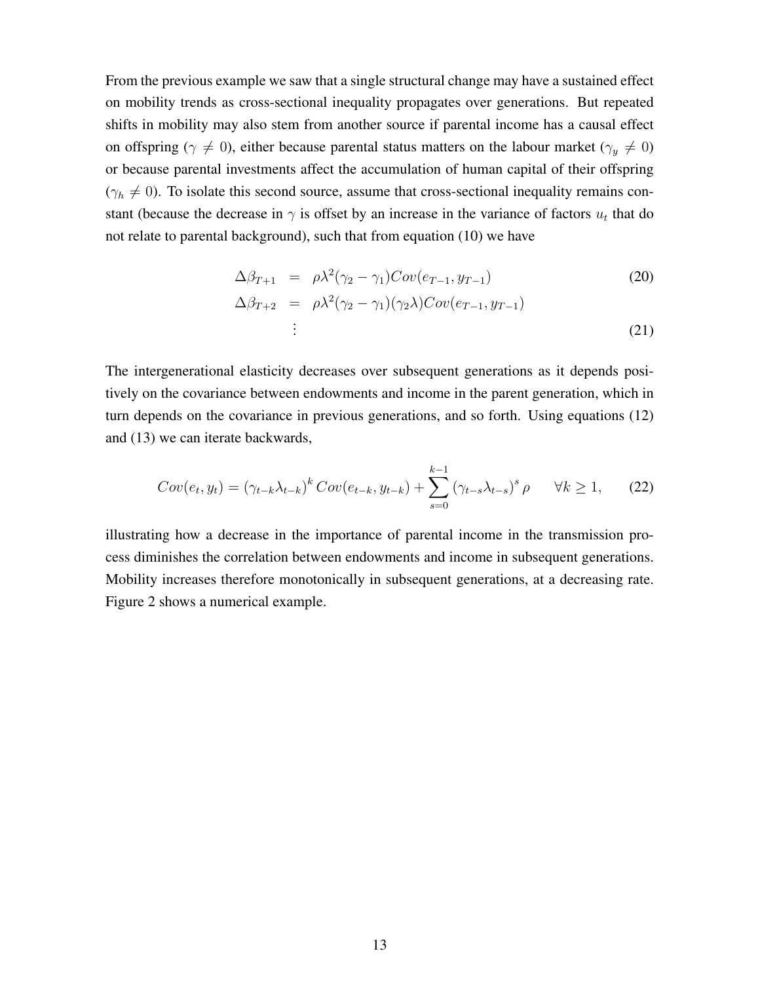From the previous example we saw that a single structural change may have a sustained effect on mobility trends as cross-sectional inequality propagates over generations. But repeated shifts in mobility may also stem from another source if parental income has a causal effect on offspring ( $\gamma \neq 0$ ), either because parental status matters on the labour market ( $\gamma_y \neq 0$ ) or because parental investments affect the accumulation of human capital of their offspring  $(\gamma_h \neq 0)$ . To isolate this second source, assume that cross-sectional inequality remains constant (because the decrease in  $\gamma$  is offset by an increase in the variance of factors  $u_t$  that do not relate to parental background), such that from equation (10) we have

$$
\Delta \beta_{T+1} = \rho \lambda^2 (\gamma_2 - \gamma_1) Cov(e_{T-1}, y_{T-1})
$$
\n
$$
\Delta \beta_{T+2} = \rho \lambda^2 (\gamma_2 - \gamma_1) (\gamma_2 \lambda) Cov(e_{T-1}, y_{T-1})
$$
\n
$$
\vdots
$$
\n(21)

The intergenerational elasticity decreases over subsequent generations as it depends positively on the covariance between endowments and income in the parent generation, which in turn depends on the covariance in previous generations, and so forth. Using equations (12) and (13) we can iterate backwards,

$$
Cov(e_t, y_t) = (\gamma_{t-k}\lambda_{t-k})^k Cov(e_{t-k}, y_{t-k}) + \sum_{s=0}^{k-1} (\gamma_{t-s}\lambda_{t-s})^s \rho \qquad \forall k \ge 1, \tag{22}
$$

illustrating how a decrease in the importance of parental income in the transmission process diminishes the correlation between endowments and income in subsequent generations. Mobility increases therefore monotonically in subsequent generations, at a decreasing rate. Figure 2 shows a numerical example.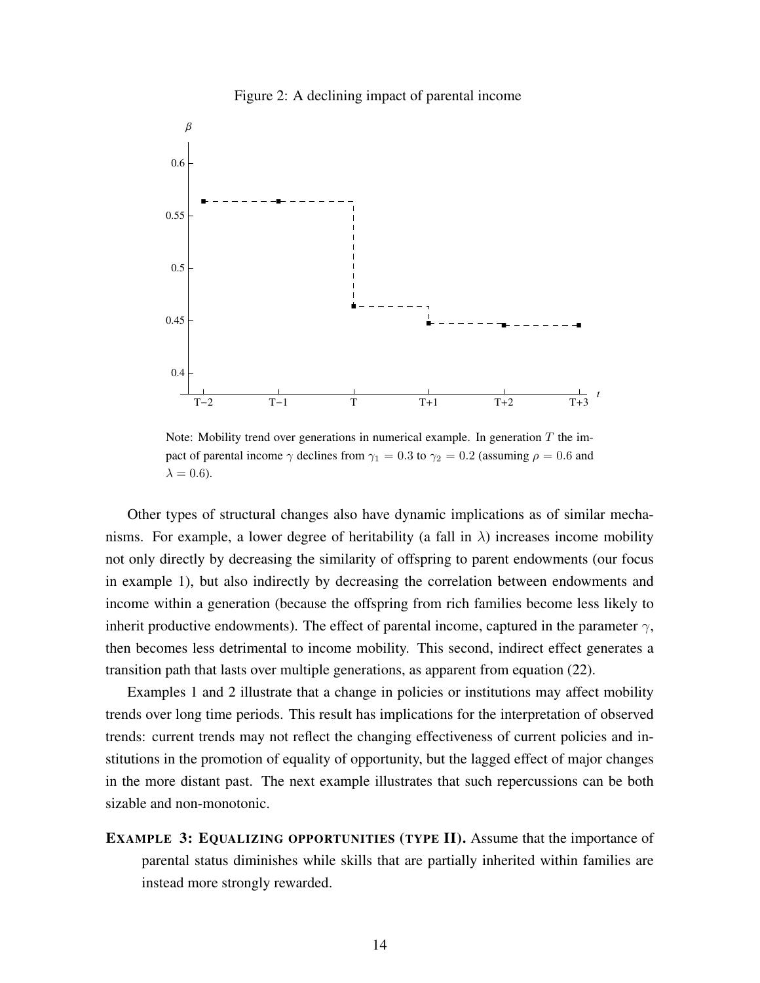

Figure 2: A declining impact of parental income

Note: Mobility trend over generations in numerical example. In generation  $T$  the impact of parental income  $\gamma$  declines from  $\gamma_1 = 0.3$  to  $\gamma_2 = 0.2$  (assuming  $\rho = 0.6$  and  $\lambda = 0.6$ ).

Other types of structural changes also have dynamic implications as of similar mechanisms. For example, a lower degree of heritability (a fall in  $\lambda$ ) increases income mobility not only directly by decreasing the similarity of offspring to parent endowments (our focus in example 1), but also indirectly by decreasing the correlation between endowments and income within a generation (because the offspring from rich families become less likely to inherit productive endowments). The effect of parental income, captured in the parameter  $\gamma$ , then becomes less detrimental to income mobility. This second, indirect effect generates a transition path that lasts over multiple generations, as apparent from equation (22).

Examples 1 and 2 illustrate that a change in policies or institutions may affect mobility trends over long time periods. This result has implications for the interpretation of observed trends: current trends may not reflect the changing effectiveness of current policies and institutions in the promotion of equality of opportunity, but the lagged effect of major changes in the more distant past. The next example illustrates that such repercussions can be both sizable and non-monotonic.

EXAMPLE 3: EQUALIZING OPPORTUNITIES (TYPE II). Assume that the importance of parental status diminishes while skills that are partially inherited within families are instead more strongly rewarded.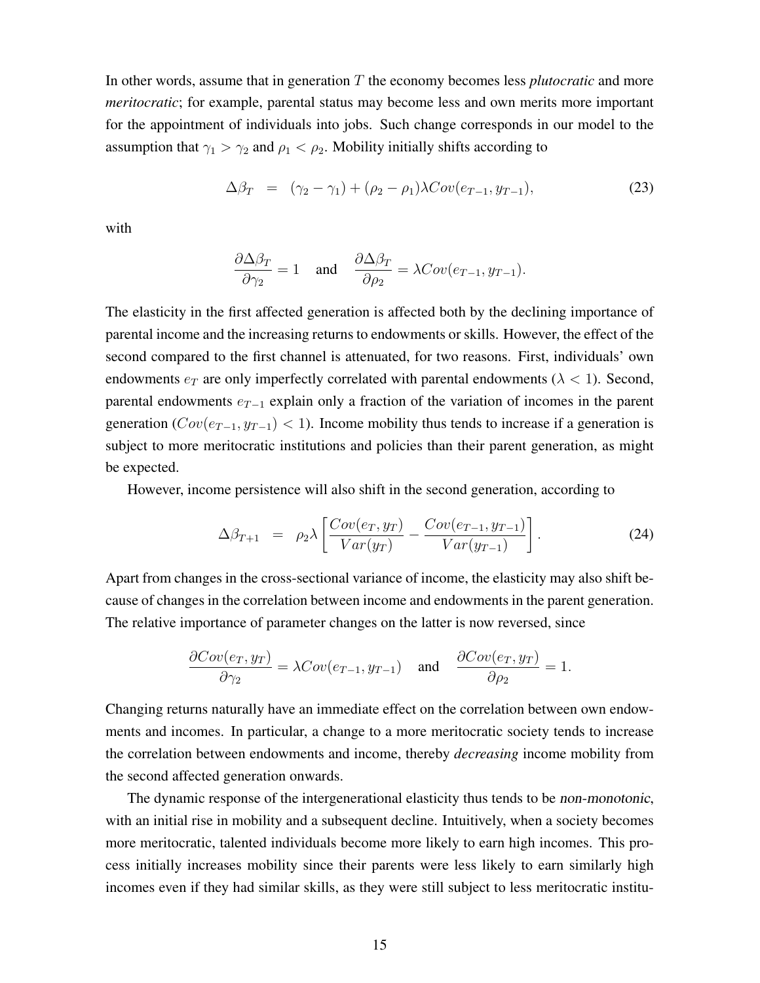In other words, assume that in generation T the economy becomes less *plutocratic* and more *meritocratic*; for example, parental status may become less and own merits more important for the appointment of individuals into jobs. Such change corresponds in our model to the assumption that  $\gamma_1 > \gamma_2$  and  $\rho_1 < \rho_2$ . Mobility initially shifts according to

$$
\Delta \beta_T = (\gamma_2 - \gamma_1) + (\rho_2 - \rho_1) \lambda Cov(e_{T-1}, y_{T-1}), \qquad (23)
$$

with

$$
\frac{\partial \Delta \beta_T}{\partial \gamma_2} = 1 \quad \text{and} \quad \frac{\partial \Delta \beta_T}{\partial \rho_2} = \lambda Cov(e_{T-1}, y_{T-1}).
$$

The elasticity in the first affected generation is affected both by the declining importance of parental income and the increasing returns to endowments or skills. However, the effect of the second compared to the first channel is attenuated, for two reasons. First, individuals' own endowments  $e_T$  are only imperfectly correlated with parental endowments ( $\lambda < 1$ ). Second, parental endowments e*<sup>T</sup>* <sup>−</sup><sup>1</sup> explain only a fraction of the variation of incomes in the parent generation ( $Cov(e_{T-1}, y_{T-1})$  < 1). Income mobility thus tends to increase if a generation is subject to more meritocratic institutions and policies than their parent generation, as might be expected.

However, income persistence will also shift in the second generation, according to

$$
\Delta \beta_{T+1} = \rho_2 \lambda \left[ \frac{Cov(e_T, y_T)}{Var(y_T)} - \frac{Cov(e_{T-1}, y_{T-1})}{Var(y_{T-1})} \right]. \tag{24}
$$

Apart from changes in the cross-sectional variance of income, the elasticity may also shift because of changes in the correlation between income and endowments in the parent generation. The relative importance of parameter changes on the latter is now reversed, since

$$
\frac{\partial Cov(e_T, y_T)}{\partial \gamma_2} = \lambda Cov(e_{T-1}, y_{T-1}) \quad \text{and} \quad \frac{\partial Cov(e_T, y_T)}{\partial \rho_2} = 1.
$$

Changing returns naturally have an immediate effect on the correlation between own endowments and incomes. In particular, a change to a more meritocratic society tends to increase the correlation between endowments and income, thereby *decreasing* income mobility from the second affected generation onwards.

The dynamic response of the intergenerational elasticity thus tends to be *non-monotonic*, with an initial rise in mobility and a subsequent decline. Intuitively, when a society becomes more meritocratic, talented individuals become more likely to earn high incomes. This process initially increases mobility since their parents were less likely to earn similarly high incomes even if they had similar skills, as they were still subject to less meritocratic institu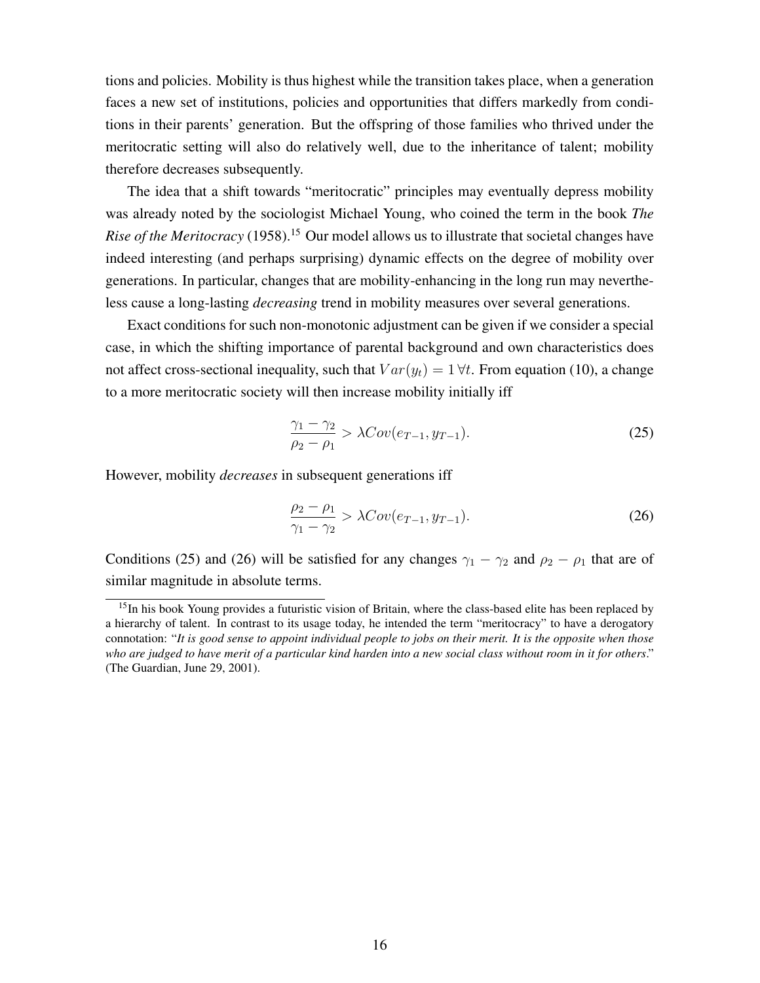tions and policies. Mobility is thus highest while the transition takes place, when a generation faces a new set of institutions, policies and opportunities that differs markedly from conditions in their parents' generation. But the offspring of those families who thrived under the meritocratic setting will also do relatively well, due to the inheritance of talent; mobility therefore decreases subsequently.

The idea that a shift towards "meritocratic" principles may eventually depress mobility was already noted by the sociologist Michael Young, who coined the term in the book *The Rise of the Meritocracy* (1958).<sup>15</sup> Our model allows us to illustrate that societal changes have indeed interesting (and perhaps surprising) dynamic effects on the degree of mobility over generations. In particular, changes that are mobility-enhancing in the long run may nevertheless cause a long-lasting *decreasing* trend in mobility measures over several generations.

Exact conditions for such non-monotonic adjustment can be given if we consider a special case, in which the shifting importance of parental background and own characteristics does not affect cross-sectional inequality, such that  $Var(y_t)=1 \forall t$ . From equation (10), a change to a more meritocratic society will then increase mobility initially iff

$$
\frac{\gamma_1 - \gamma_2}{\rho_2 - \rho_1} > \lambda Cov(e_{T-1}, y_{T-1}).
$$
\n(25)

However, mobility *decreases* in subsequent generations iff

$$
\frac{\rho_2 - \rho_1}{\gamma_1 - \gamma_2} > \lambda Cov(e_{T-1}, y_{T-1}).
$$
\n(26)

Conditions (25) and (26) will be satisfied for any changes  $\gamma_1 - \gamma_2$  and  $\rho_2 - \rho_1$  that are of similar magnitude in absolute terms.

<sup>&</sup>lt;sup>15</sup>In his book Young provides a futuristic vision of Britain, where the class-based elite has been replaced by a hierarchy of talent. In contrast to its usage today, he intended the term "meritocracy" to have a derogatory connotation: "*It is good sense to appoint individual people to jobs on their merit. It is the opposite when those who are judged to have merit of a particular kind harden into a new social class without room in it for others*." (The Guardian, June 29, 2001).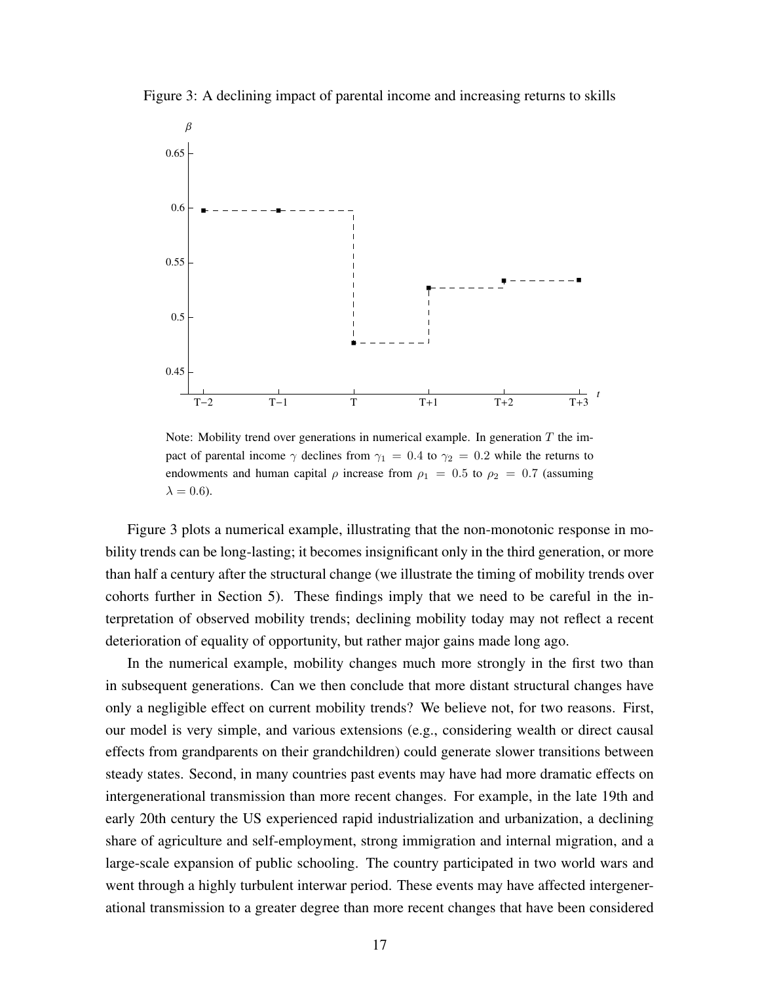



Note: Mobility trend over generations in numerical example. In generation  $T$  the impact of parental income  $\gamma$  declines from  $\gamma_1 = 0.4$  to  $\gamma_2 = 0.2$  while the returns to endowments and human capital  $\rho$  increase from  $\rho_1 = 0.5$  to  $\rho_2 = 0.7$  (assuming  $\lambda = 0.6$ ).

Figure 3 plots a numerical example, illustrating that the non-monotonic response in mobility trends can be long-lasting; it becomes insignificant only in the third generation, or more than half a century after the structural change (we illustrate the timing of mobility trends over cohorts further in Section 5). These findings imply that we need to be careful in the interpretation of observed mobility trends; declining mobility today may not reflect a recent deterioration of equality of opportunity, but rather major gains made long ago.

In the numerical example, mobility changes much more strongly in the first two than in subsequent generations. Can we then conclude that more distant structural changes have only a negligible effect on current mobility trends? We believe not, for two reasons. First, our model is very simple, and various extensions (e.g., considering wealth or direct causal effects from grandparents on their grandchildren) could generate slower transitions between steady states. Second, in many countries past events may have had more dramatic effects on intergenerational transmission than more recent changes. For example, in the late 19th and early 20th century the US experienced rapid industrialization and urbanization, a declining share of agriculture and self-employment, strong immigration and internal migration, and a large-scale expansion of public schooling. The country participated in two world wars and went through a highly turbulent interwar period. These events may have affected intergenerational transmission to a greater degree than more recent changes that have been considered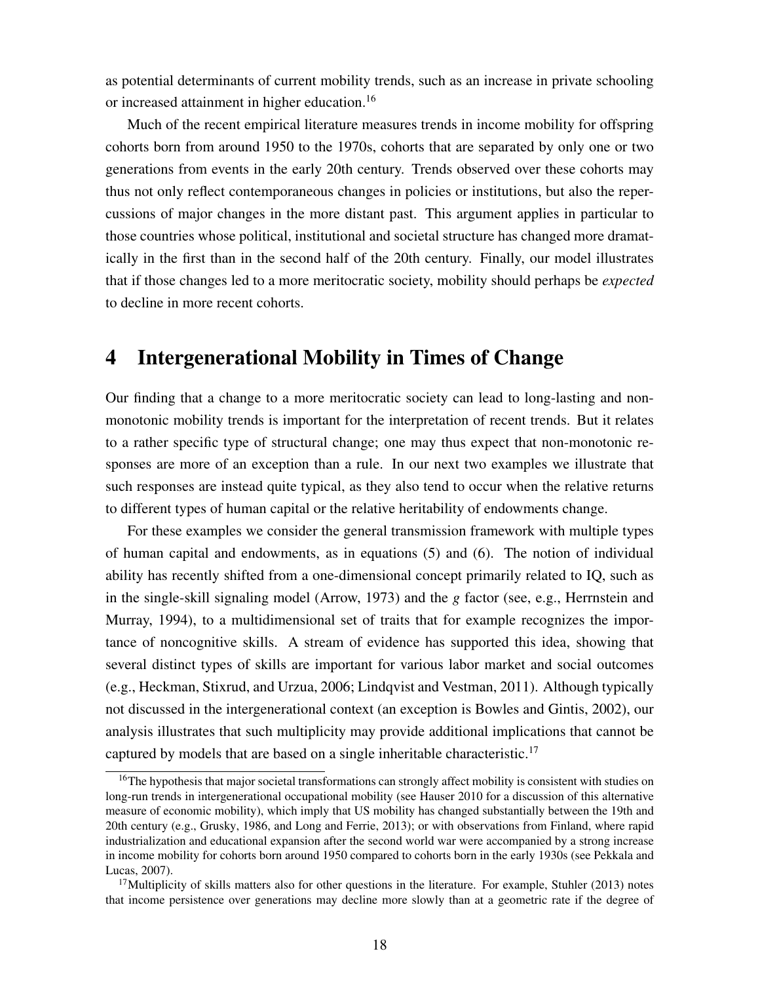as potential determinants of current mobility trends, such as an increase in private schooling or increased attainment in higher education.<sup>16</sup>

Much of the recent empirical literature measures trends in income mobility for offspring cohorts born from around 1950 to the 1970s, cohorts that are separated by only one or two generations from events in the early 20th century. Trends observed over these cohorts may thus not only reflect contemporaneous changes in policies or institutions, but also the repercussions of major changes in the more distant past. This argument applies in particular to those countries whose political, institutional and societal structure has changed more dramatically in the first than in the second half of the 20th century. Finally, our model illustrates that if those changes led to a more meritocratic society, mobility should perhaps be *expected* to decline in more recent cohorts.

# 4 Intergenerational Mobility in Times of Change

Our finding that a change to a more meritocratic society can lead to long-lasting and nonmonotonic mobility trends is important for the interpretation of recent trends. But it relates to a rather specific type of structural change; one may thus expect that non-monotonic responses are more of an exception than a rule. In our next two examples we illustrate that such responses are instead quite typical, as they also tend to occur when the relative returns to different types of human capital or the relative heritability of endowments change.

For these examples we consider the general transmission framework with multiple types of human capital and endowments, as in equations (5) and (6). The notion of individual ability has recently shifted from a one-dimensional concept primarily related to IQ, such as in the single-skill signaling model (Arrow, 1973) and the *g* factor (see, e.g., Herrnstein and Murray, 1994), to a multidimensional set of traits that for example recognizes the importance of noncognitive skills. A stream of evidence has supported this idea, showing that several distinct types of skills are important for various labor market and social outcomes (e.g., Heckman, Stixrud, and Urzua, 2006; Lindqvist and Vestman, 2011). Although typically not discussed in the intergenerational context (an exception is Bowles and Gintis, 2002), our analysis illustrates that such multiplicity may provide additional implications that cannot be captured by models that are based on a single inheritable characteristic.<sup>17</sup>

<sup>&</sup>lt;sup>16</sup>The hypothesis that major societal transformations can strongly affect mobility is consistent with studies on long-run trends in intergenerational occupational mobility (see Hauser 2010 for a discussion of this alternative measure of economic mobility), which imply that US mobility has changed substantially between the 19th and 20th century (e.g., Grusky, 1986, and Long and Ferrie, 2013); or with observations from Finland, where rapid industrialization and educational expansion after the second world war were accompanied by a strong increase in income mobility for cohorts born around 1950 compared to cohorts born in the early 1930s (see Pekkala and Lucas, 2007).

<sup>&</sup>lt;sup>17</sup>Multiplicity of skills matters also for other questions in the literature. For example, Stuhler (2013) notes that income persistence over generations may decline more slowly than at a geometric rate if the degree of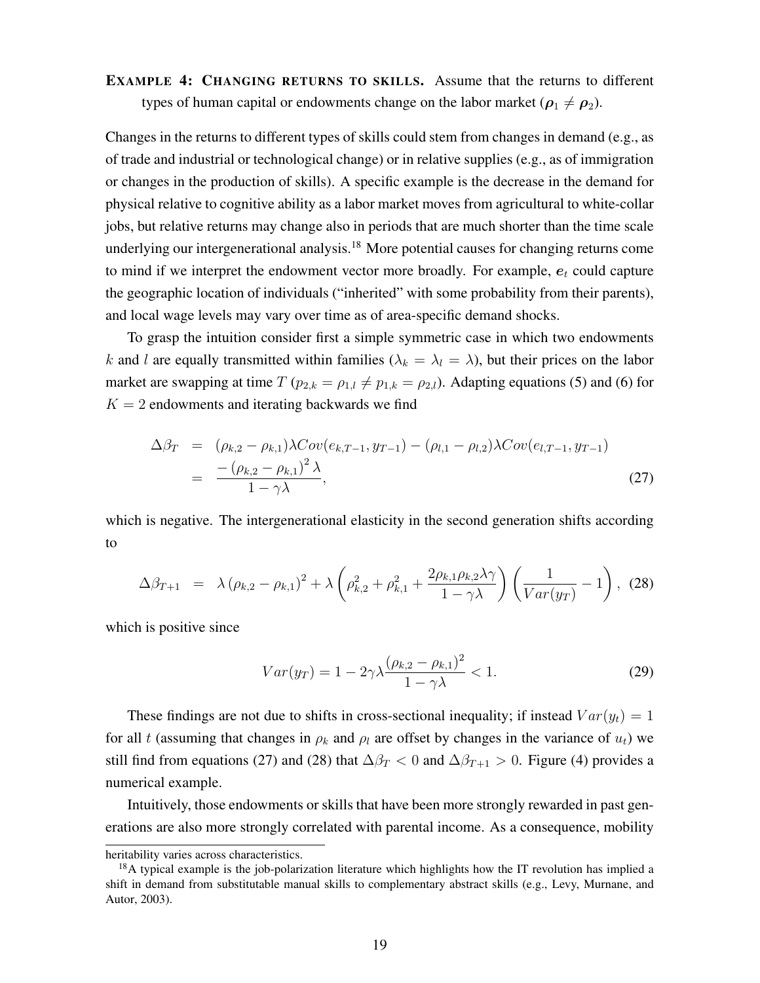EXAMPLE 4: CHANGING RETURNS TO SKILLS. Assume that the returns to different types of human capital or endowments change on the labor market ( $\rho_1 \neq \rho_2$ ).

Changes in the returns to different types of skills could stem from changes in demand (e.g., as of trade and industrial or technological change) or in relative supplies (e.g., as of immigration or changes in the production of skills). A specific example is the decrease in the demand for physical relative to cognitive ability as a labor market moves from agricultural to white-collar jobs, but relative returns may change also in periods that are much shorter than the time scale underlying our intergenerational analysis.<sup>18</sup> More potential causes for changing returns come to mind if we interpret the endowment vector more broadly. For example,  $e_t$  could capture the geographic location of individuals ("inherited" with some probability from their parents), and local wage levels may vary over time as of area-specific demand shocks.

To grasp the intuition consider first a simple symmetric case in which two endowments k and l are equally transmitted within families ( $\lambda_k = \lambda_l = \lambda$ ), but their prices on the labor market are swapping at time  $T (p_{2,k} = \rho_{1,k} \neq p_{1,k} = \rho_{2,l})$ . Adapting equations (5) and (6) for  $K = 2$  endowments and iterating backwards we find

$$
\Delta \beta_T = (\rho_{k,2} - \rho_{k,1}) \lambda Cov(e_{k,T-1}, y_{T-1}) - (\rho_{l,1} - \rho_{l,2}) \lambda Cov(e_{l,T-1}, y_{T-1})
$$
  
= 
$$
\frac{-(\rho_{k,2} - \rho_{k,1})^2 \lambda}{1 - \gamma \lambda},
$$
 (27)

which is negative. The intergenerational elasticity in the second generation shifts according to

$$
\Delta \beta_{T+1} = \lambda (\rho_{k,2} - \rho_{k,1})^2 + \lambda \left( \rho_{k,2}^2 + \rho_{k,1}^2 + \frac{2\rho_{k,1}\rho_{k,2}\lambda\gamma}{1-\gamma\lambda} \right) \left( \frac{1}{Var(y_T)} - 1 \right), (28)
$$

which is positive since

$$
Var(y_T) = 1 - 2\gamma \lambda \frac{(\rho_{k,2} - \rho_{k,1})^2}{1 - \gamma \lambda} < 1.
$$
 (29)

These findings are not due to shifts in cross-sectional inequality; if instead  $Var(y_t)=1$ for all t (assuming that changes in  $\rho_k$  and  $\rho_l$  are offset by changes in the variance of  $u_t$ ) we still find from equations (27) and (28) that  $\Delta\beta_T < 0$  and  $\Delta\beta_{T+1} > 0$ . Figure (4) provides a numerical example.

Intuitively, those endowments or skills that have been more strongly rewarded in past generations are also more strongly correlated with parental income. As a consequence, mobility

heritability varies across characteristics.

 $18A$  typical example is the job-polarization literature which highlights how the IT revolution has implied a shift in demand from substitutable manual skills to complementary abstract skills (e.g., Levy, Murnane, and Autor, 2003).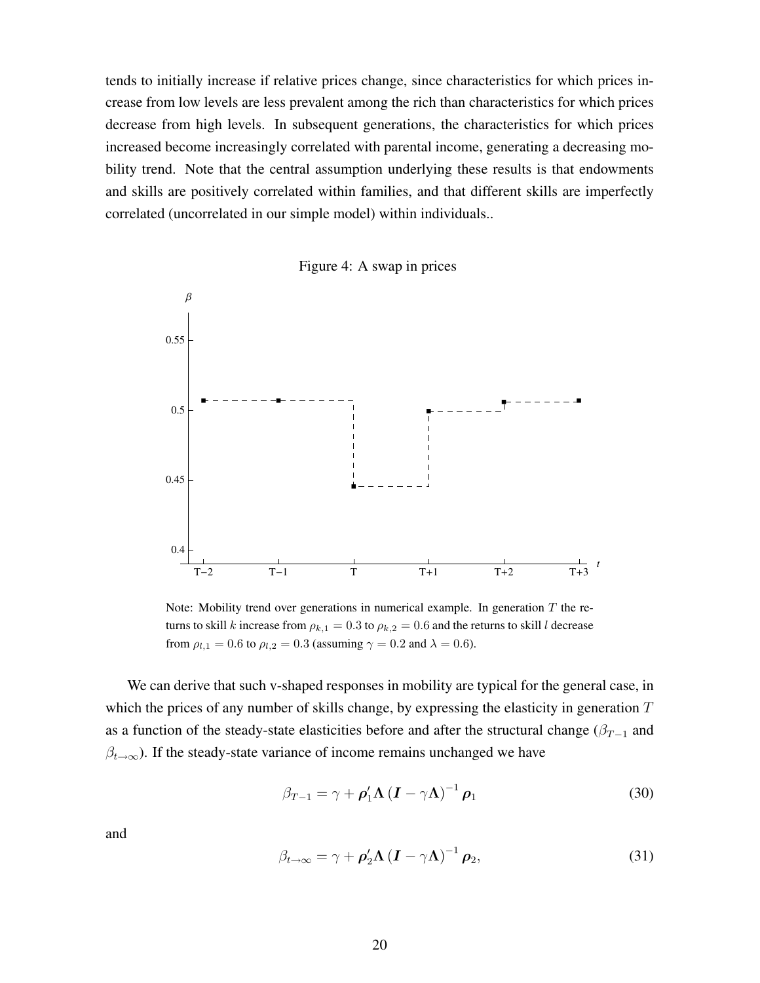tends to initially increase if relative prices change, since characteristics for which prices increase from low levels are less prevalent among the rich than characteristics for which prices decrease from high levels. In subsequent generations, the characteristics for which prices increased become increasingly correlated with parental income, generating a decreasing mobility trend. Note that the central assumption underlying these results is that endowments and skills are positively correlated within families, and that different skills are imperfectly correlated (uncorrelated in our simple model) within individuals..



Figure 4: A swap in prices

Note: Mobility trend over generations in numerical example. In generation  $T$  the returns to skill k increase from  $\rho_{k,1} = 0.3$  to  $\rho_{k,2} = 0.6$  and the returns to skill l decrease from  $\rho_{l,1} = 0.6$  to  $\rho_{l,2} = 0.3$  (assuming  $\gamma = 0.2$  and  $\lambda = 0.6$ ).

We can derive that such v-shaped responses in mobility are typical for the general case, in which the prices of any number of skills change, by expressing the elasticity in generation  $T$ as a function of the steady-state elasticities before and after the structural change ( $\beta_{T-1}$  and  $\beta_{t\to\infty}$ ). If the steady-state variance of income remains unchanged we have

$$
\beta_{T-1} = \gamma + \rho'_1 \Lambda \left( \mathbf{I} - \gamma \Lambda \right)^{-1} \rho_1 \tag{30}
$$

and

$$
\beta_{t\to\infty} = \gamma + \rho_2' \Lambda \left( \mathbf{I} - \gamma \Lambda \right)^{-1} \rho_2, \tag{31}
$$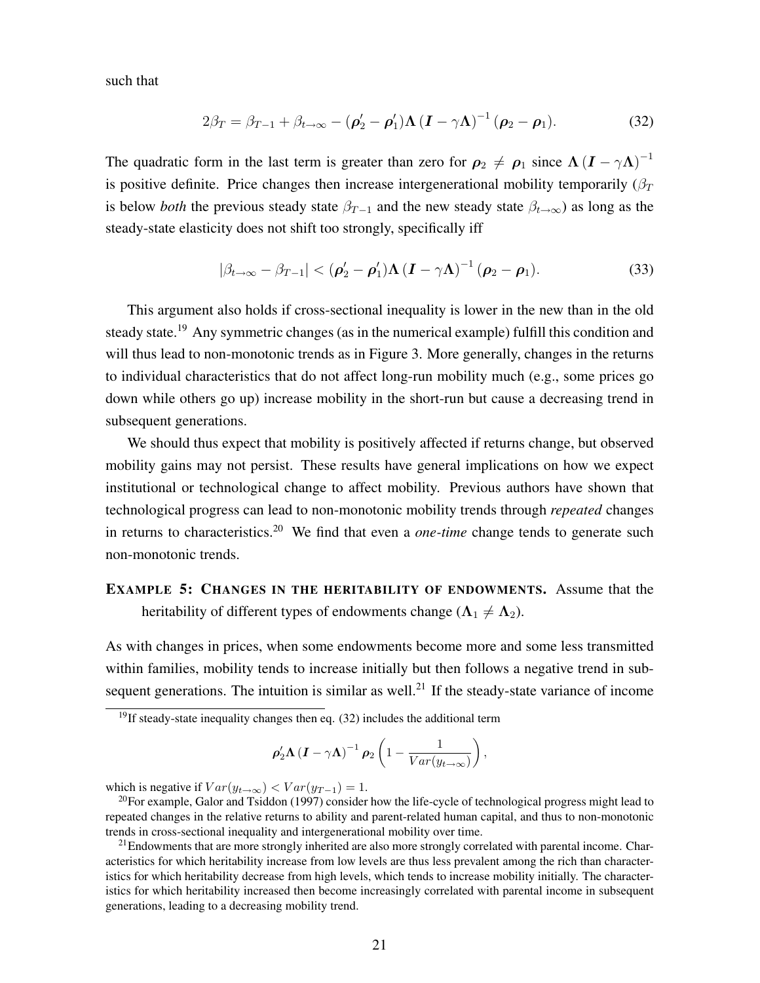such that

$$
2\beta_T = \beta_{T-1} + \beta_{t\to\infty} - (\boldsymbol{\rho}_2' - \boldsymbol{\rho}_1')\boldsymbol{\Lambda}(\boldsymbol{I} - \gamma\boldsymbol{\Lambda})^{-1}(\boldsymbol{\rho}_2 - \boldsymbol{\rho}_1). \tag{32}
$$

The quadratic form in the last term is greater than zero for  $\rho_2 \neq \rho_1$  since  $\Lambda (I - \gamma \Lambda)^{-1}$ is positive definite. Price changes then increase intergenerational mobility temporarily  $(\beta_T)$ is below *both* the previous steady state  $\beta_{T-1}$  and the new steady state  $\beta_{t\to\infty}$ ) as long as the steady-state elasticity does not shift too strongly, specifically iff

$$
|\beta_{t\to\infty} - \beta_{T-1}| < (\boldsymbol{\rho}_2' - \boldsymbol{\rho}_1')\boldsymbol{\Lambda}(\boldsymbol{I} - \gamma\boldsymbol{\Lambda})^{-1}(\boldsymbol{\rho}_2 - \boldsymbol{\rho}_1).
$$
 (33)

This argument also holds if cross-sectional inequality is lower in the new than in the old steady state.<sup>19</sup> Any symmetric changes (as in the numerical example) fulfill this condition and will thus lead to non-monotonic trends as in Figure 3. More generally, changes in the returns to individual characteristics that do not affect long-run mobility much (e.g., some prices go down while others go up) increase mobility in the short-run but cause a decreasing trend in subsequent generations.

We should thus expect that mobility is positively affected if returns change, but observed mobility gains may not persist. These results have general implications on how we expect institutional or technological change to affect mobility. Previous authors have shown that technological progress can lead to non-monotonic mobility trends through *repeated* changes in returns to characteristics.<sup>20</sup> We find that even a *one-time* change tends to generate such non-monotonic trends.

#### EXAMPLE 5: CHANGES IN THE HERITABILITY OF ENDOWMENTS. Assume that the heritability of different types of endowments change ( $\Lambda_1 \neq \Lambda_2$ ).

As with changes in prices, when some endowments become more and some less transmitted within families, mobility tends to increase initially but then follows a negative trend in subsequent generations. The intuition is similar as well.<sup>21</sup> If the steady-state variance of income

$$
\rho_2' \Lambda \left( I - \gamma \Lambda \right)^{-1} \rho_2 \left( 1 - \frac{1}{Var(y_{t \to \infty})} \right),
$$

which is negative if  $Var(y_{t\to\infty}) < Var(y_{T-1}) = 1$ .<br><sup>20</sup>For example, Galor and Tsiddon (1997) consider how the life-cycle of technological progress might lead to repeated changes in the relative returns to ability and parent-related human capital, and thus to non-monotonic trends in cross-sectional inequality and intergenerational mobility over time.

<sup>21</sup>Endowments that are more strongly inherited are also more strongly correlated with parental income. Characteristics for which heritability increase from low levels are thus less prevalent among the rich than characteristics for which heritability decrease from high levels, which tends to increase mobility initially. The characteristics for which heritability increased then become increasingly correlated with parental income in subsequent generations, leading to a decreasing mobility trend.

 $19$ If steady-state inequality changes then eq. (32) includes the additional term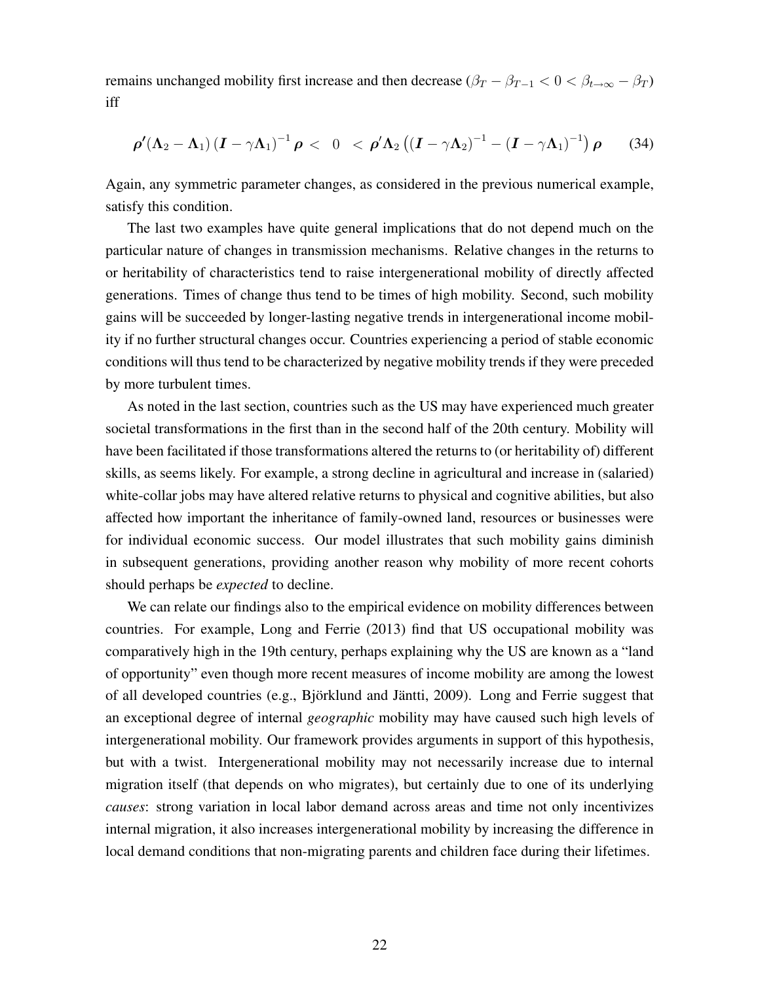remains unchanged mobility first increase and then decrease  $(\beta_T - \beta_{T-1} < 0 < \beta_{t\to\infty} - \beta_T)$ iff

$$
\rho'(\Lambda_2-\Lambda_1)(I-\gamma\Lambda_1)^{-1}\rho < 0 < \rho'\Lambda_2((I-\gamma\Lambda_2)^{-1}-(I-\gamma\Lambda_1)^{-1})\rho
$$
 (34)

Again, any symmetric parameter changes, as considered in the previous numerical example, satisfy this condition.

The last two examples have quite general implications that do not depend much on the particular nature of changes in transmission mechanisms. Relative changes in the returns to or heritability of characteristics tend to raise intergenerational mobility of directly affected generations. Times of change thus tend to be times of high mobility. Second, such mobility gains will be succeeded by longer-lasting negative trends in intergenerational income mobility if no further structural changes occur. Countries experiencing a period of stable economic conditions will thus tend to be characterized by negative mobility trends if they were preceded by more turbulent times.

As noted in the last section, countries such as the US may have experienced much greater societal transformations in the first than in the second half of the 20th century. Mobility will have been facilitated if those transformations altered the returns to (or heritability of) different skills, as seems likely. For example, a strong decline in agricultural and increase in (salaried) white-collar jobs may have altered relative returns to physical and cognitive abilities, but also affected how important the inheritance of family-owned land, resources or businesses were for individual economic success. Our model illustrates that such mobility gains diminish in subsequent generations, providing another reason why mobility of more recent cohorts should perhaps be *expected* to decline.

We can relate our findings also to the empirical evidence on mobility differences between countries. For example, Long and Ferrie (2013) find that US occupational mobility was comparatively high in the 19th century, perhaps explaining why the US are known as a "land of opportunity" even though more recent measures of income mobility are among the lowest of all developed countries (e.g., Björklund and Jäntti, 2009). Long and Ferrie suggest that an exceptional degree of internal *geographic* mobility may have caused such high levels of intergenerational mobility. Our framework provides arguments in support of this hypothesis, but with a twist. Intergenerational mobility may not necessarily increase due to internal migration itself (that depends on who migrates), but certainly due to one of its underlying *causes*: strong variation in local labor demand across areas and time not only incentivizes internal migration, it also increases intergenerational mobility by increasing the difference in local demand conditions that non-migrating parents and children face during their lifetimes.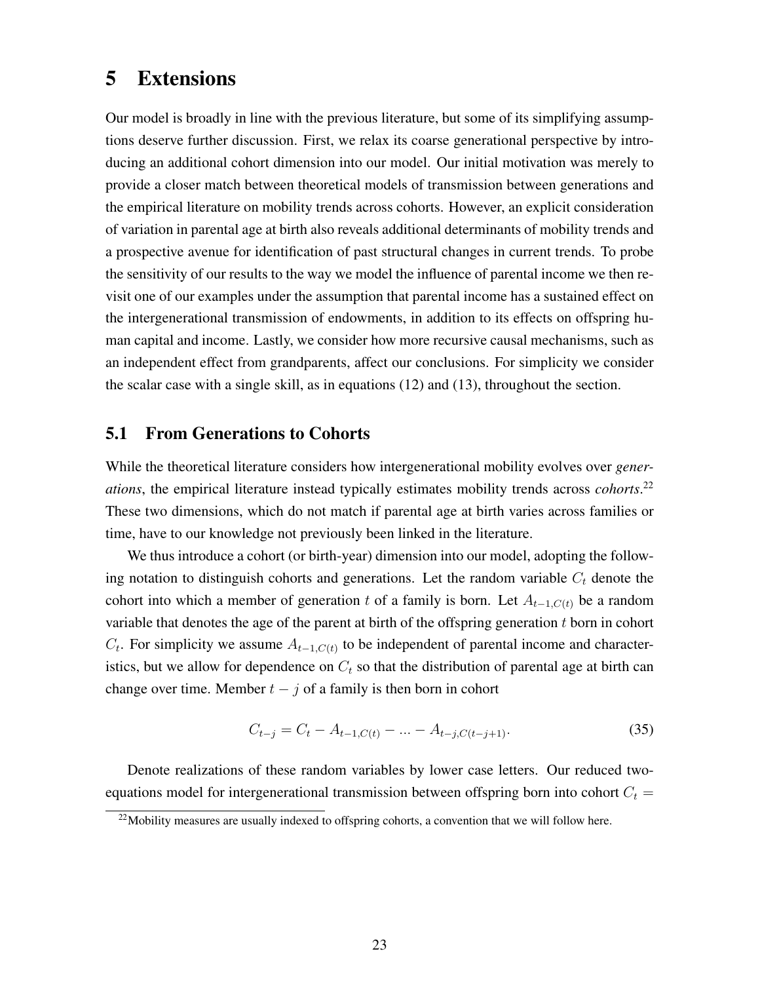### 5 Extensions

Our model is broadly in line with the previous literature, but some of its simplifying assumptions deserve further discussion. First, we relax its coarse generational perspective by introducing an additional cohort dimension into our model. Our initial motivation was merely to provide a closer match between theoretical models of transmission between generations and the empirical literature on mobility trends across cohorts. However, an explicit consideration of variation in parental age at birth also reveals additional determinants of mobility trends and a prospective avenue for identification of past structural changes in current trends. To probe the sensitivity of our results to the way we model the influence of parental income we then revisit one of our examples under the assumption that parental income has a sustained effect on the intergenerational transmission of endowments, in addition to its effects on offspring human capital and income. Lastly, we consider how more recursive causal mechanisms, such as an independent effect from grandparents, affect our conclusions. For simplicity we consider the scalar case with a single skill, as in equations (12) and (13), throughout the section.

#### 5.1 From Generations to Cohorts

While the theoretical literature considers how intergenerational mobility evolves over *generations*, the empirical literature instead typically estimates mobility trends across *cohorts*. 22 These two dimensions, which do not match if parental age at birth varies across families or time, have to our knowledge not previously been linked in the literature.

We thus introduce a cohort (or birth-year) dimension into our model, adopting the following notation to distinguish cohorts and generations. Let the random variable  $C<sub>t</sub>$  denote the cohort into which a member of generation t of a family is born. Let  $A_{t-1,C(t)}$  be a random variable that denotes the age of the parent at birth of the offspring generation  $t$  born in cohort  $C_t$ . For simplicity we assume  $A_{t-1,C(t)}$  to be independent of parental income and characteristics, but we allow for dependence on  $C_t$  so that the distribution of parental age at birth can change over time. Member  $t - j$  of a family is then born in cohort

$$
C_{t-j} = C_t - A_{t-1,C(t)} - \dots - A_{t-j,C(t-j+1)}.
$$
\n(35)

Denote realizations of these random variables by lower case letters. Our reduced twoequations model for intergenerational transmission between offspring born into cohort  $C_t$  =

<sup>&</sup>lt;sup>22</sup>Mobility measures are usually indexed to offspring cohorts, a convention that we will follow here.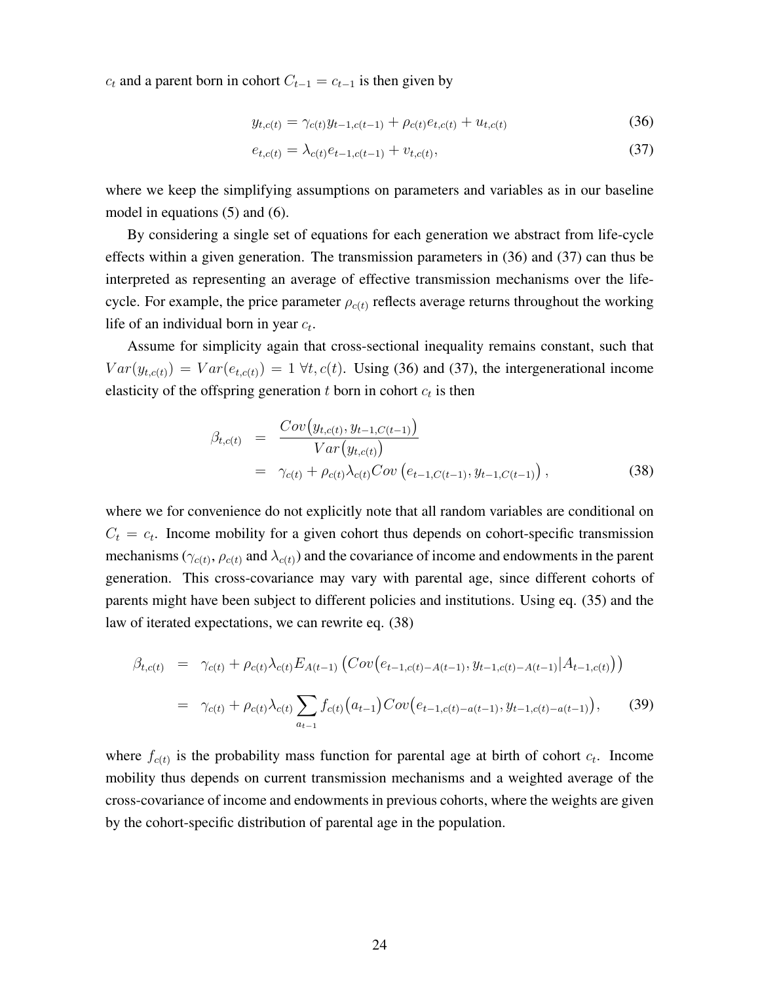$c_t$  and a parent born in cohort  $C_{t-1} = c_{t-1}$  is then given by

$$
y_{t,c(t)} = \gamma_{c(t)} y_{t-1,c(t-1)} + \rho_{c(t)} e_{t,c(t)} + u_{t,c(t)}
$$
\n(36)

$$
e_{t,c(t)} = \lambda_{c(t)} e_{t-1,c(t-1)} + v_{t,c(t)},
$$
\n(37)

where we keep the simplifying assumptions on parameters and variables as in our baseline model in equations (5) and (6).

By considering a single set of equations for each generation we abstract from life-cycle effects within a given generation. The transmission parameters in (36) and (37) can thus be interpreted as representing an average of effective transmission mechanisms over the lifecycle. For example, the price parameter  $\rho_{c(t)}$  reflects average returns throughout the working life of an individual born in year c*t*.

Assume for simplicity again that cross-sectional inequality remains constant, such that  $Var(y_{t,c(t)}) = Var(e_{t,c(t)}) = 1 \forall t, c(t)$ . Using (36) and (37), the intergenerational income elasticity of the offspring generation  $t$  born in cohort  $c_t$  is then

$$
\beta_{t,c(t)} = \frac{Cov(y_{t,c(t)}, y_{t-1,C(t-1)})}{Var(y_{t,c(t)})}
$$
\n
$$
= \gamma_{c(t)} + \rho_{c(t)} \lambda_{c(t)} Cov(e_{t-1,C(t-1)}, y_{t-1,C(t-1)}),
$$
\n(38)

where we for convenience do not explicitly note that all random variables are conditional on  $C_t = c_t$ . Income mobility for a given cohort thus depends on cohort-specific transmission mechanisms ( $\gamma_{c(t)}, \rho_{c(t)}$  and  $\lambda_{c(t)}$ ) and the covariance of income and endowments in the parent generation. This cross-covariance may vary with parental age, since different cohorts of parents might have been subject to different policies and institutions. Using eq. (35) and the law of iterated expectations, we can rewrite eq. (38)

$$
\beta_{t,c(t)} = \gamma_{c(t)} + \rho_{c(t)} \lambda_{c(t)} E_{A(t-1)} \left( Cov(e_{t-1,c(t)-A(t-1)}, y_{t-1,c(t)-A(t-1)} | A_{t-1,c(t)}) \right)
$$
  

$$
= \gamma_{c(t)} + \rho_{c(t)} \lambda_{c(t)} \sum_{a_{t-1}} f_{c(t)} (a_{t-1}) Cov(e_{t-1,c(t)-a(t-1)}, y_{t-1,c(t)-a(t-1)}), \qquad (39)
$$

where  $f_{c(t)}$  is the probability mass function for parental age at birth of cohort  $c_t$ . Income mobility thus depends on current transmission mechanisms and a weighted average of the cross-covariance of income and endowments in previous cohorts, where the weights are given by the cohort-specific distribution of parental age in the population.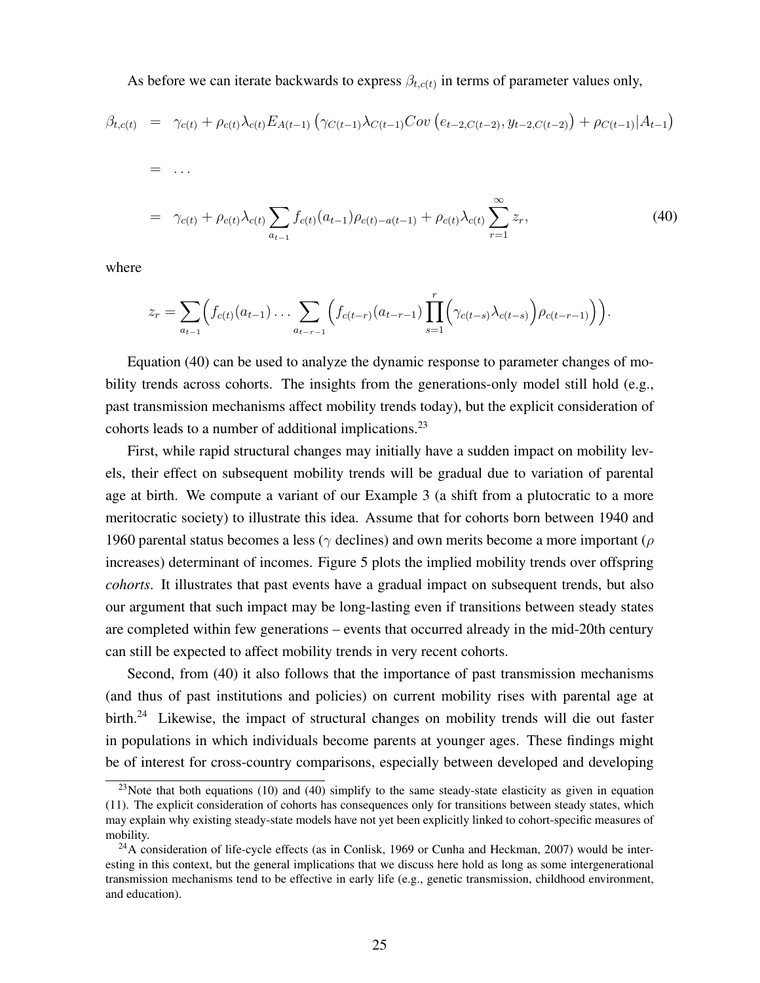As before we can iterate backwards to express  $\beta_{t,c(t)}$  in terms of parameter values only,

$$
\beta_{t,c(t)} = \gamma_{c(t)} + \rho_{c(t)} \lambda_{c(t)} E_{A(t-1)} \left( \gamma_{C(t-1)} \lambda_{C(t-1)} Cov \left( e_{t-2, C(t-2)}, y_{t-2, C(t-2)} \right) + \rho_{C(t-1)} | A_{t-1} \right)
$$
\n
$$
= \dots
$$
\n
$$
= \gamma_{c(t)} + \rho_{c(t)} \lambda_{c(t)} \sum f_{c(t)} (a_{t-1}) \rho_{c(t)-a(t-1)} + \rho_{c(t)} \lambda_{c(t)} \sum^{\infty} z_r, \tag{40}
$$

*r*=1

where

$$
z_r = \sum_{a_{t-1}} \Bigl( f_{c(t)}(a_{t-1}) \ldots \sum_{a_{t-r-1}} \Bigl( f_{c(t-r)}(a_{t-r-1}) \prod_{s=1}^r \Bigl( \gamma_{c(t-s)} \lambda_{c(t-s)} \Bigr) \rho_{c(t-r-1)} \Bigr) \Bigr).
$$

*at*−<sup>1</sup>

Equation (40) can be used to analyze the dynamic response to parameter changes of mobility trends across cohorts. The insights from the generations-only model still hold (e.g., past transmission mechanisms affect mobility trends today), but the explicit consideration of cohorts leads to a number of additional implications.<sup>23</sup>

First, while rapid structural changes may initially have a sudden impact on mobility levels, their effect on subsequent mobility trends will be gradual due to variation of parental age at birth. We compute a variant of our Example 3 (a shift from a plutocratic to a more meritocratic society) to illustrate this idea. Assume that for cohorts born between 1940 and 1960 parental status becomes a less ( $\gamma$  declines) and own merits become a more important ( $\rho$ increases) determinant of incomes. Figure 5 plots the implied mobility trends over offspring *cohorts*. It illustrates that past events have a gradual impact on subsequent trends, but also our argument that such impact may be long-lasting even if transitions between steady states are completed within few generations – events that occurred already in the mid-20th century can still be expected to affect mobility trends in very recent cohorts.

Second, from (40) it also follows that the importance of past transmission mechanisms (and thus of past institutions and policies) on current mobility rises with parental age at birth.<sup>24</sup> Likewise, the impact of structural changes on mobility trends will die out faster in populations in which individuals become parents at younger ages. These findings might be of interest for cross-country comparisons, especially between developed and developing

<sup>&</sup>lt;sup>23</sup>Note that both equations (10) and (40) simplify to the same steady-state elasticity as given in equation (11). The explicit consideration of cohorts has consequences only for transitions between steady states, which may explain why existing steady-state models have not yet been explicitly linked to cohort-specific measures of mobility.

 $^{24}$ A consideration of life-cycle effects (as in Conlisk, 1969 or Cunha and Heckman, 2007) would be interesting in this context, but the general implications that we discuss here hold as long as some intergenerational transmission mechanisms tend to be effective in early life (e.g., genetic transmission, childhood environment, and education).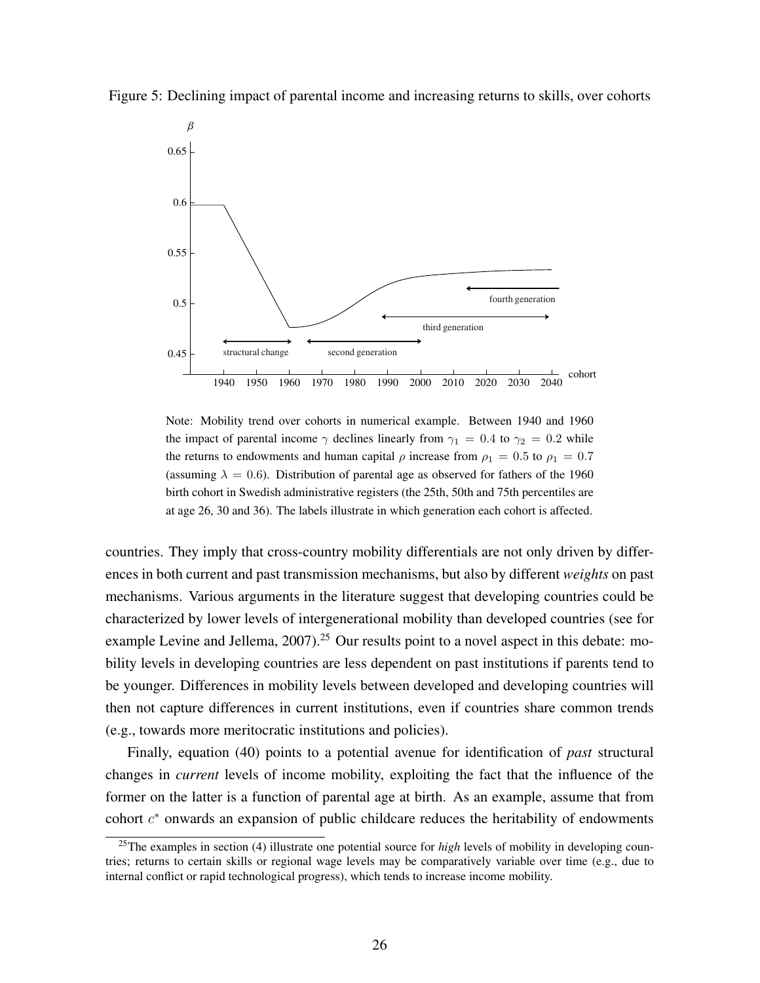

Figure 5: Declining impact of parental income and increasing returns to skills, over cohorts

Note: Mobility trend over cohorts in numerical example. Between 1940 and 1960 the impact of parental income  $\gamma$  declines linearly from  $\gamma_1 = 0.4$  to  $\gamma_2 = 0.2$  while the returns to endowments and human capital  $\rho$  increase from  $\rho_1 = 0.5$  to  $\rho_1 = 0.7$ (assuming  $\lambda = 0.6$ ). Distribution of parental age as observed for fathers of the 1960 birth cohort in Swedish administrative registers (the 25th, 50th and 75th percentiles are at age 26, 30 and 36). The labels illustrate in which generation each cohort is affected.

countries. They imply that cross-country mobility differentials are not only driven by differences in both current and past transmission mechanisms, but also by different *weights* on past mechanisms. Various arguments in the literature suggest that developing countries could be characterized by lower levels of intergenerational mobility than developed countries (see for example Levine and Jellema, 2007).<sup>25</sup> Our results point to a novel aspect in this debate: mobility levels in developing countries are less dependent on past institutions if parents tend to be younger. Differences in mobility levels between developed and developing countries will then not capture differences in current institutions, even if countries share common trends (e.g., towards more meritocratic institutions and policies).

Finally, equation (40) points to a potential avenue for identification of *past* structural changes in *current* levels of income mobility, exploiting the fact that the influence of the former on the latter is a function of parental age at birth. As an example, assume that from cohort  $c<sup>*</sup>$  onwards an expansion of public childcare reduces the heritability of endowments

<sup>&</sup>lt;sup>25</sup>The examples in section (4) illustrate one potential source for *high* levels of mobility in developing countries; returns to certain skills or regional wage levels may be comparatively variable over time (e.g., due to internal conflict or rapid technological progress), which tends to increase income mobility.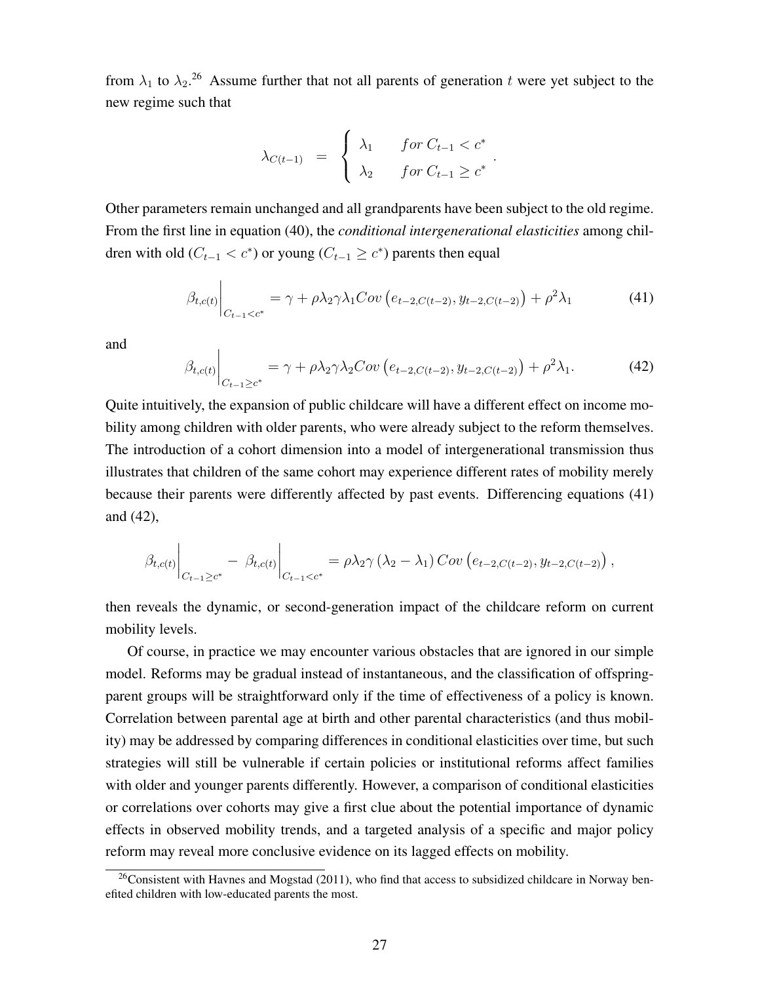from  $\lambda_1$  to  $\lambda_2$ <sup>26</sup> Assume further that not all parents of generation t were yet subject to the new regime such that

$$
\lambda_{C(t-1)} = \begin{cases} \lambda_1 & \text{for } C_{t-1} < c^* \\ \lambda_2 & \text{for } C_{t-1} \ge c^* \end{cases}.
$$

Other parameters remain unchanged and all grandparents have been subject to the old regime. From the first line in equation (40), the *conditional intergenerational elasticities* among children with old ( $C_{t-1} < c^*$ ) or young ( $C_{t-1} \geq c^*$ ) parents then equal

$$
\beta_{t,c(t)}\Big|_{C_{t-1}
$$

and

$$
\beta_{t,c(t)}\Big|_{C_{t-1}\geq c^*} = \gamma + \rho \lambda_2 \gamma \lambda_2 Cov\left(e_{t-2,C(t-2)}, y_{t-2,C(t-2)}\right) + \rho^2 \lambda_1. \tag{42}
$$

Quite intuitively, the expansion of public childcare will have a different effect on income mobility among children with older parents, who were already subject to the reform themselves. The introduction of a cohort dimension into a model of intergenerational transmission thus illustrates that children of the same cohort may experience different rates of mobility merely because their parents were differently affected by past events. Differencing equations (41) and (42),

$$
\beta_{t,c(t)}\Big|_{C_{t-1}\geq c^*} - \beta_{t,c(t)}\Big|_{C_{t-1}< c^*} = \rho\lambda_2\gamma\left(\lambda_2-\lambda_1\right)Cov\left(e_{t-2,C(t-2)},y_{t-2,C(t-2)}\right),
$$

then reveals the dynamic, or second-generation impact of the childcare reform on current mobility levels.

Of course, in practice we may encounter various obstacles that are ignored in our simple model. Reforms may be gradual instead of instantaneous, and the classification of offspringparent groups will be straightforward only if the time of effectiveness of a policy is known. Correlation between parental age at birth and other parental characteristics (and thus mobility) may be addressed by comparing differences in conditional elasticities over time, but such strategies will still be vulnerable if certain policies or institutional reforms affect families with older and younger parents differently. However, a comparison of conditional elasticities or correlations over cohorts may give a first clue about the potential importance of dynamic effects in observed mobility trends, and a targeted analysis of a specific and major policy reform may reveal more conclusive evidence on its lagged effects on mobility.

 $26$ Consistent with Havnes and Mogstad (2011), who find that access to subsidized childcare in Norway benefited children with low-educated parents the most.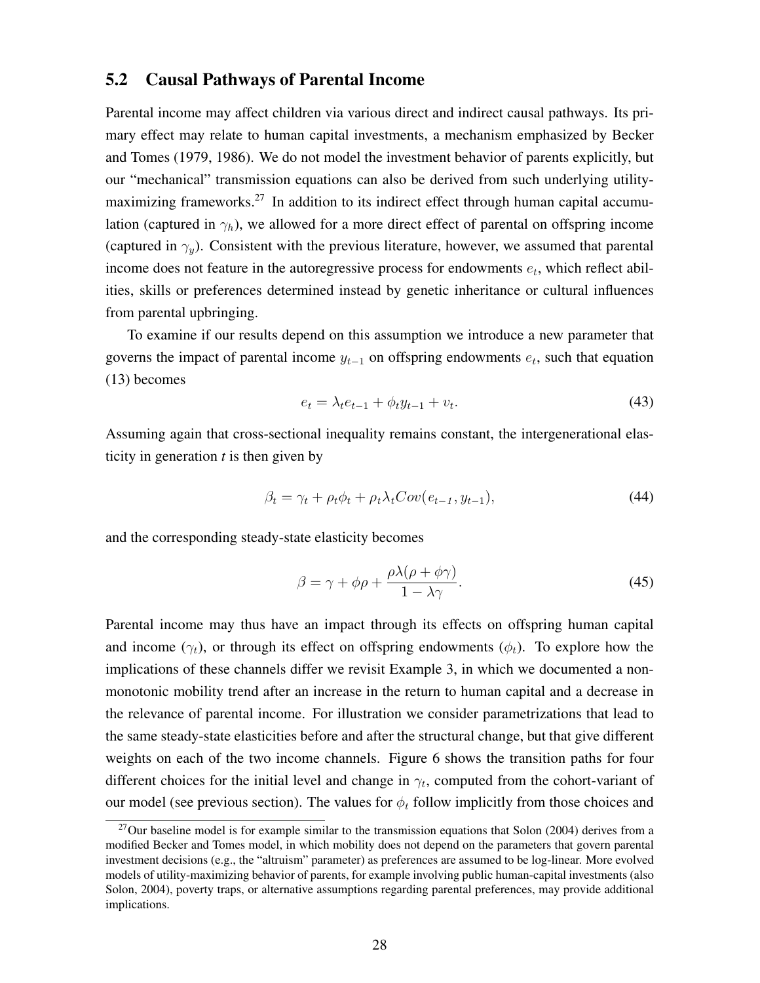#### 5.2 Causal Pathways of Parental Income

Parental income may affect children via various direct and indirect causal pathways. Its primary effect may relate to human capital investments, a mechanism emphasized by Becker and Tomes (1979, 1986). We do not model the investment behavior of parents explicitly, but our "mechanical" transmission equations can also be derived from such underlying utilitymaximizing frameworks.<sup>27</sup> In addition to its indirect effect through human capital accumulation (captured in  $\gamma_h$ ), we allowed for a more direct effect of parental on offspring income (captured in  $\gamma_v$ ). Consistent with the previous literature, however, we assumed that parental income does not feature in the autoregressive process for endowments e*t*, which reflect abilities, skills or preferences determined instead by genetic inheritance or cultural influences from parental upbringing.

To examine if our results depend on this assumption we introduce a new parameter that governs the impact of parental income y*<sup>t</sup>*−<sup>1</sup> on offspring endowments e*t*, such that equation (13) becomes

$$
e_t = \lambda_t e_{t-1} + \phi_t y_{t-1} + v_t.
$$
\n(43)

Assuming again that cross-sectional inequality remains constant, the intergenerational elasticity in generation *t* is then given by

$$
\beta_t = \gamma_t + \rho_t \phi_t + \rho_t \lambda_t Cov(e_{t-1}, y_{t-1}), \qquad (44)
$$

and the corresponding steady-state elasticity becomes

$$
\beta = \gamma + \phi \rho + \frac{\rho \lambda (\rho + \phi \gamma)}{1 - \lambda \gamma}.
$$
\n(45)

Parental income may thus have an impact through its effects on offspring human capital and income  $(\gamma_t)$ , or through its effect on offspring endowments  $(\phi_t)$ . To explore how the implications of these channels differ we revisit Example 3, in which we documented a nonmonotonic mobility trend after an increase in the return to human capital and a decrease in the relevance of parental income. For illustration we consider parametrizations that lead to the same steady-state elasticities before and after the structural change, but that give different weights on each of the two income channels. Figure 6 shows the transition paths for four different choices for the initial level and change in  $\gamma_t$ , computed from the cohort-variant of our model (see previous section). The values for  $\phi_t$  follow implicitly from those choices and

 $^{27}$ Our baseline model is for example similar to the transmission equations that Solon (2004) derives from a modified Becker and Tomes model, in which mobility does not depend on the parameters that govern parental investment decisions (e.g., the "altruism" parameter) as preferences are assumed to be log-linear. More evolved models of utility-maximizing behavior of parents, for example involving public human-capital investments (also Solon, 2004), poverty traps, or alternative assumptions regarding parental preferences, may provide additional implications.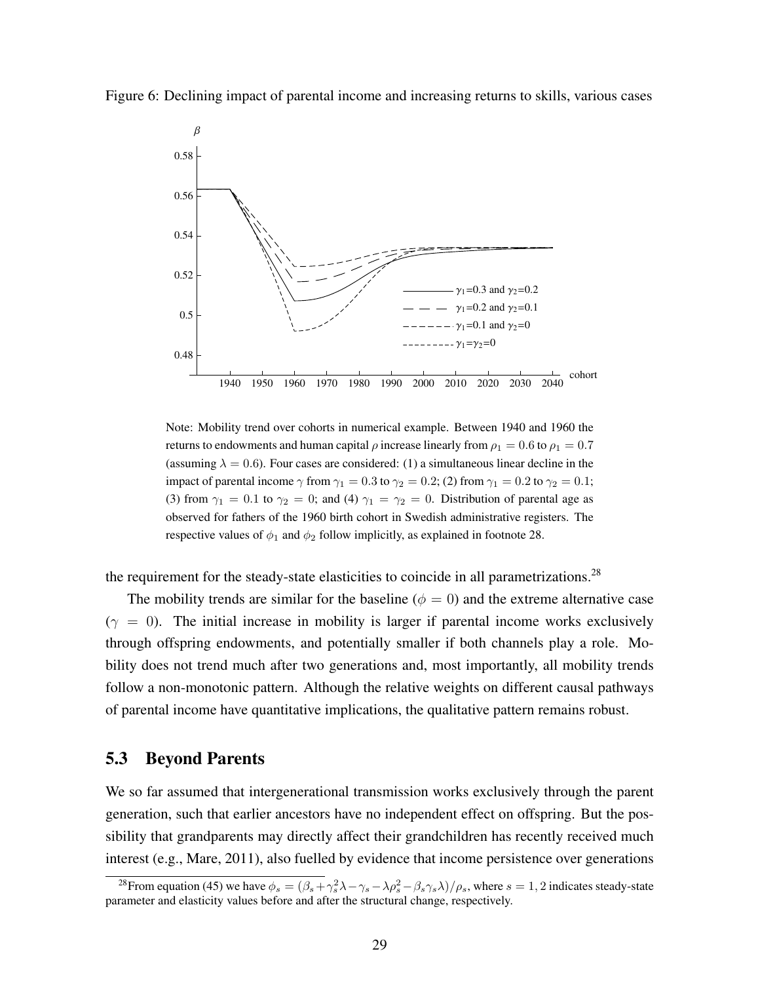



Note: Mobility trend over cohorts in numerical example. Between 1940 and 1960 the returns to endowments and human capital  $\rho$  increase linearly from  $\rho_1 = 0.6$  to  $\rho_1 = 0.7$ (assuming  $\lambda = 0.6$ ). Four cases are considered: (1) a simultaneous linear decline in the impact of parental income  $\gamma$  from  $\gamma_1 = 0.3$  to  $\gamma_2 = 0.2$ ; (2) from  $\gamma_1 = 0.2$  to  $\gamma_2 = 0.1$ ; (3) from  $\gamma_1 = 0.1$  to  $\gamma_2 = 0$ ; and (4)  $\gamma_1 = \gamma_2 = 0$ . Distribution of parental age as observed for fathers of the 1960 birth cohort in Swedish administrative registers. The respective values of  $\phi_1$  and  $\phi_2$  follow implicitly, as explained in footnote 28.

the requirement for the steady-state elasticities to coincide in all parametrizations.<sup>28</sup>

The mobility trends are similar for the baseline ( $\phi = 0$ ) and the extreme alternative case  $(\gamma = 0)$ . The initial increase in mobility is larger if parental income works exclusively through offspring endowments, and potentially smaller if both channels play a role. Mobility does not trend much after two generations and, most importantly, all mobility trends follow a non-monotonic pattern. Although the relative weights on different causal pathways of parental income have quantitative implications, the qualitative pattern remains robust.

#### 5.3 Beyond Parents

We so far assumed that intergenerational transmission works exclusively through the parent generation, such that earlier ancestors have no independent effect on offspring. But the possibility that grandparents may directly affect their grandchildren has recently received much interest (e.g., Mare, 2011), also fuelled by evidence that income persistence over generations

<sup>&</sup>lt;sup>28</sup> From equation (45) we have  $\phi_s = (\beta_s + \gamma_s^2 \lambda - \gamma_s - \lambda \rho_s^2 - \beta_s \gamma_s \lambda)/\rho_s$ , where  $s = 1, 2$  indicates steady-state parameter and elasticity values before and after the structural change, respectively.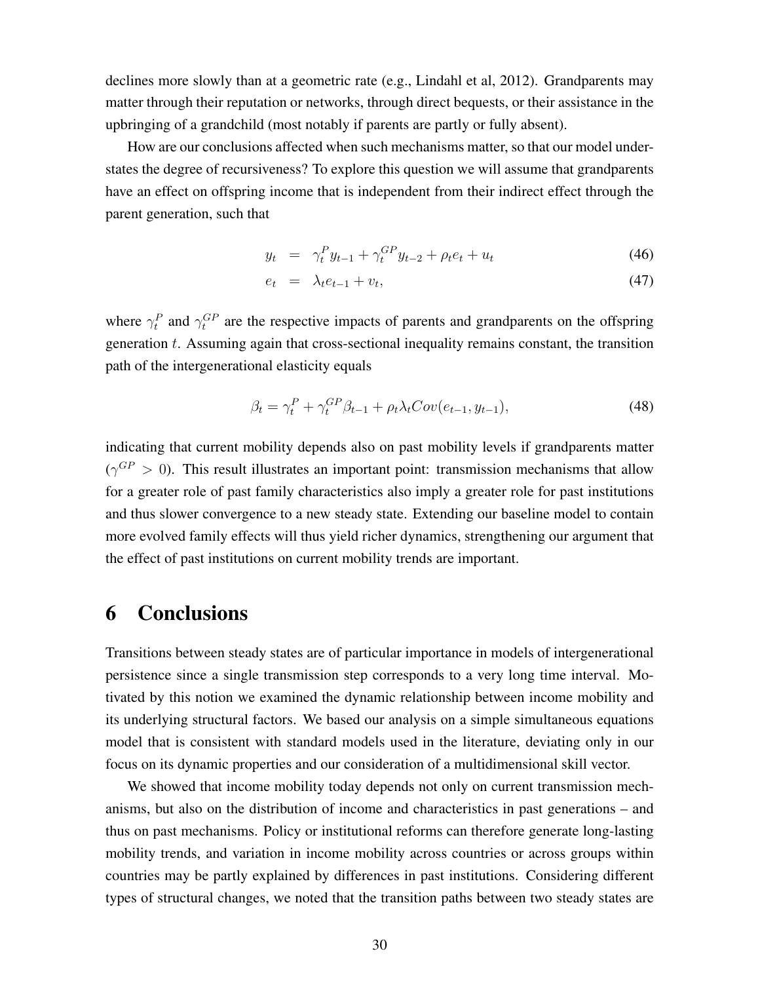declines more slowly than at a geometric rate (e.g., Lindahl et al, 2012). Grandparents may matter through their reputation or networks, through direct bequests, or their assistance in the upbringing of a grandchild (most notably if parents are partly or fully absent).

How are our conclusions affected when such mechanisms matter, so that our model understates the degree of recursiveness? To explore this question we will assume that grandparents have an effect on offspring income that is independent from their indirect effect through the parent generation, such that

$$
y_t = \gamma_t^P y_{t-1} + \gamma_t^{GP} y_{t-2} + \rho_t e_t + u_t \tag{46}
$$

$$
e_t = \lambda_t e_{t-1} + v_t, \tag{47}
$$

where  $\gamma_t^P$  and  $\gamma_t^{GP}$  are the respective impacts of parents and grandparents on the offspring generation  $t$ . Assuming again that cross-sectional inequality remains constant, the transition path of the intergenerational elasticity equals

$$
\beta_t = \gamma_t^P + \gamma_t^{GP} \beta_{t-1} + \rho_t \lambda_t Cov(e_{t-1}, y_{t-1}), \qquad (48)
$$

indicating that current mobility depends also on past mobility levels if grandparents matter  $(\gamma^{GP} > 0)$ . This result illustrates an important point: transmission mechanisms that allow for a greater role of past family characteristics also imply a greater role for past institutions and thus slower convergence to a new steady state. Extending our baseline model to contain more evolved family effects will thus yield richer dynamics, strengthening our argument that the effect of past institutions on current mobility trends are important.

### 6 Conclusions

Transitions between steady states are of particular importance in models of intergenerational persistence since a single transmission step corresponds to a very long time interval. Motivated by this notion we examined the dynamic relationship between income mobility and its underlying structural factors. We based our analysis on a simple simultaneous equations model that is consistent with standard models used in the literature, deviating only in our focus on its dynamic properties and our consideration of a multidimensional skill vector.

We showed that income mobility today depends not only on current transmission mechanisms, but also on the distribution of income and characteristics in past generations – and thus on past mechanisms. Policy or institutional reforms can therefore generate long-lasting mobility trends, and variation in income mobility across countries or across groups within countries may be partly explained by differences in past institutions. Considering different types of structural changes, we noted that the transition paths between two steady states are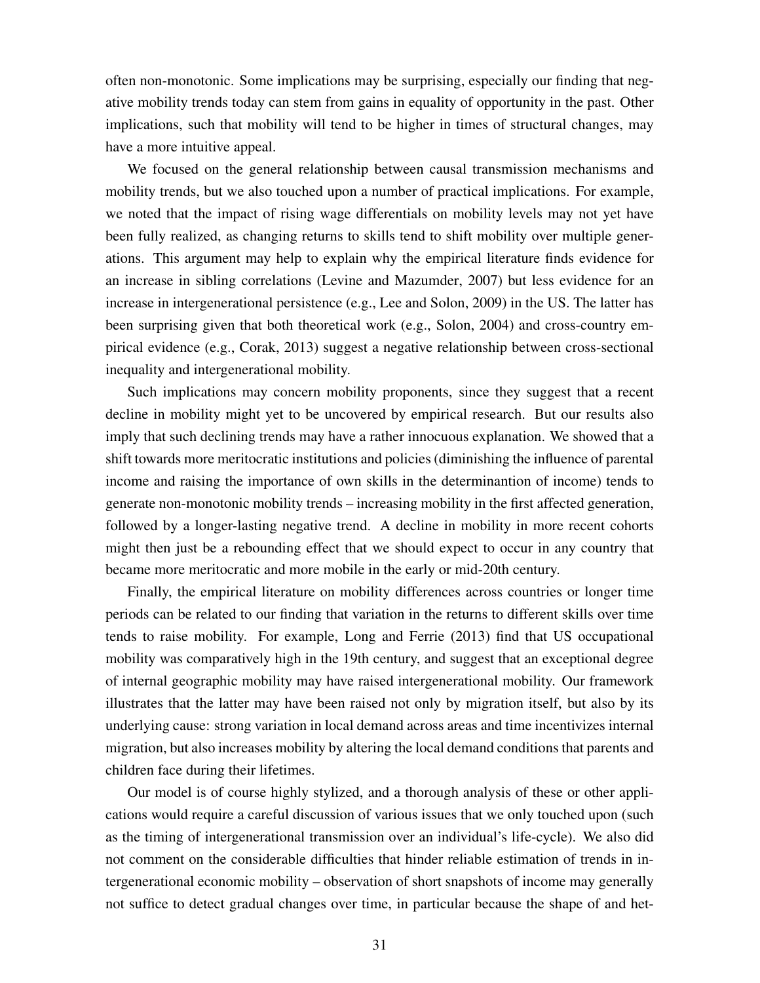often non-monotonic. Some implications may be surprising, especially our finding that negative mobility trends today can stem from gains in equality of opportunity in the past. Other implications, such that mobility will tend to be higher in times of structural changes, may have a more intuitive appeal.

We focused on the general relationship between causal transmission mechanisms and mobility trends, but we also touched upon a number of practical implications. For example, we noted that the impact of rising wage differentials on mobility levels may not yet have been fully realized, as changing returns to skills tend to shift mobility over multiple generations. This argument may help to explain why the empirical literature finds evidence for an increase in sibling correlations (Levine and Mazumder, 2007) but less evidence for an increase in intergenerational persistence (e.g., Lee and Solon, 2009) in the US. The latter has been surprising given that both theoretical work (e.g., Solon, 2004) and cross-country empirical evidence (e.g., Corak, 2013) suggest a negative relationship between cross-sectional inequality and intergenerational mobility.

Such implications may concern mobility proponents, since they suggest that a recent decline in mobility might yet to be uncovered by empirical research. But our results also imply that such declining trends may have a rather innocuous explanation. We showed that a shift towards more meritocratic institutions and policies (diminishing the influence of parental income and raising the importance of own skills in the determinantion of income) tends to generate non-monotonic mobility trends – increasing mobility in the first affected generation, followed by a longer-lasting negative trend. A decline in mobility in more recent cohorts might then just be a rebounding effect that we should expect to occur in any country that became more meritocratic and more mobile in the early or mid-20th century.

Finally, the empirical literature on mobility differences across countries or longer time periods can be related to our finding that variation in the returns to different skills over time tends to raise mobility. For example, Long and Ferrie (2013) find that US occupational mobility was comparatively high in the 19th century, and suggest that an exceptional degree of internal geographic mobility may have raised intergenerational mobility. Our framework illustrates that the latter may have been raised not only by migration itself, but also by its underlying cause: strong variation in local demand across areas and time incentivizes internal migration, but also increases mobility by altering the local demand conditions that parents and children face during their lifetimes.

Our model is of course highly stylized, and a thorough analysis of these or other applications would require a careful discussion of various issues that we only touched upon (such as the timing of intergenerational transmission over an individual's life-cycle). We also did not comment on the considerable difficulties that hinder reliable estimation of trends in intergenerational economic mobility – observation of short snapshots of income may generally not suffice to detect gradual changes over time, in particular because the shape of and het-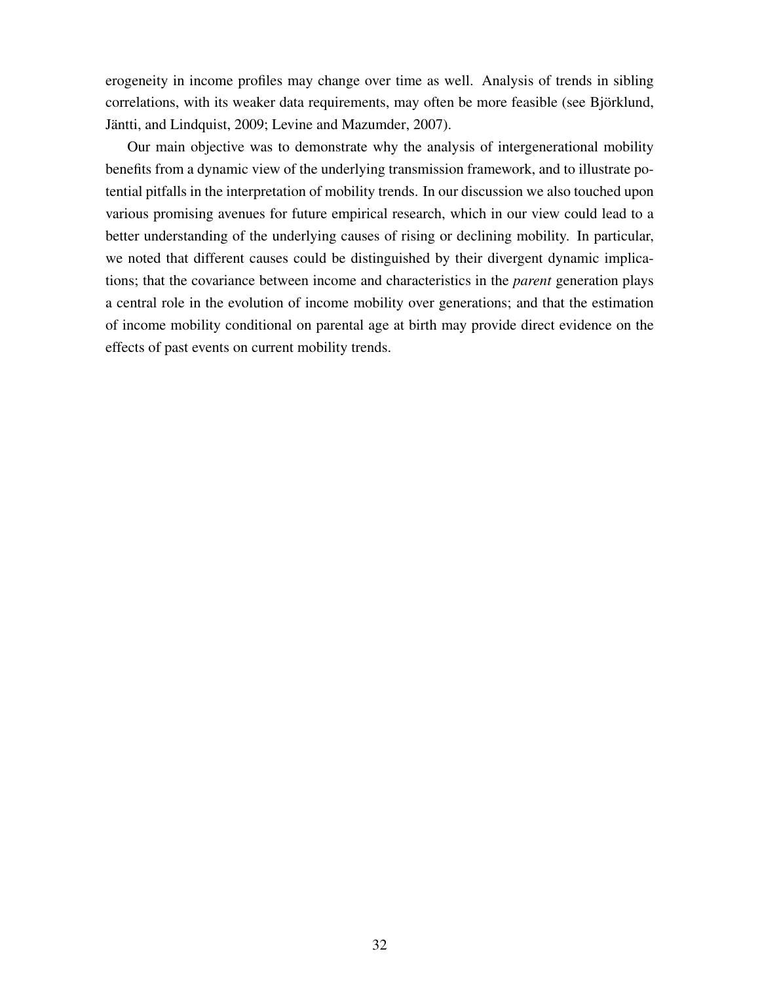erogeneity in income profiles may change over time as well. Analysis of trends in sibling correlations, with its weaker data requirements, may often be more feasible (see Björklund, Jäntti, and Lindquist, 2009; Levine and Mazumder, 2007).

Our main objective was to demonstrate why the analysis of intergenerational mobility benefits from a dynamic view of the underlying transmission framework, and to illustrate potential pitfalls in the interpretation of mobility trends. In our discussion we also touched upon various promising avenues for future empirical research, which in our view could lead to a better understanding of the underlying causes of rising or declining mobility. In particular, we noted that different causes could be distinguished by their divergent dynamic implications; that the covariance between income and characteristics in the *parent* generation plays a central role in the evolution of income mobility over generations; and that the estimation of income mobility conditional on parental age at birth may provide direct evidence on the effects of past events on current mobility trends.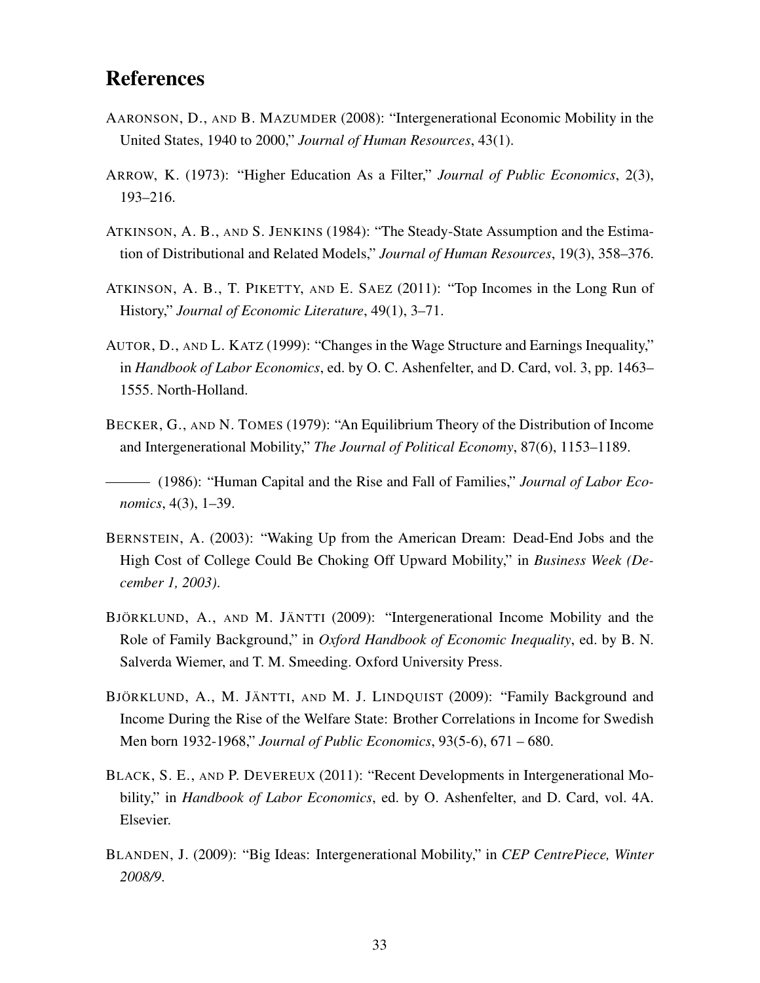# References

- AARONSON, D., AND B. MAZUMDER (2008): "Intergenerational Economic Mobility in the United States, 1940 to 2000," *Journal of Human Resources*, 43(1).
- ARROW, K. (1973): "Higher Education As a Filter," *Journal of Public Economics*, 2(3), 193–216.
- ATKINSON, A. B., AND S. JENKINS (1984): "The Steady-State Assumption and the Estimation of Distributional and Related Models," *Journal of Human Resources*, 19(3), 358–376.
- ATKINSON, A. B., T. PIKETTY, AND E. SAEZ (2011): "Top Incomes in the Long Run of History," *Journal of Economic Literature*, 49(1), 3–71.
- AUTOR, D., AND L. KATZ (1999): "Changes in the Wage Structure and Earnings Inequality," in *Handbook of Labor Economics*, ed. by O. C. Ashenfelter, and D. Card, vol. 3, pp. 1463– 1555. North-Holland.
- BECKER, G., AND N. TOMES (1979): "An Equilibrium Theory of the Distribution of Income and Intergenerational Mobility," *The Journal of Political Economy*, 87(6), 1153–1189.

(1986): "Human Capital and the Rise and Fall of Families," *Journal of Labor Economics*, 4(3), 1–39.

- BERNSTEIN, A. (2003): "Waking Up from the American Dream: Dead-End Jobs and the High Cost of College Could Be Choking Off Upward Mobility," in *Business Week (December 1, 2003)*.
- BJÖRKLUND, A., AND M. JÄNTTI (2009): "Intergenerational Income Mobility and the Role of Family Background," in *Oxford Handbook of Economic Inequality*, ed. by B. N. Salverda Wiemer, and T. M. Smeeding. Oxford University Press.
- BJÖRKLUND, A., M. JÄNTTI, AND M. J. LINDQUIST (2009): "Family Background and Income During the Rise of the Welfare State: Brother Correlations in Income for Swedish Men born 1932-1968," *Journal of Public Economics*, 93(5-6), 671 – 680.
- BLACK, S. E., AND P. DEVEREUX (2011): "Recent Developments in Intergenerational Mobility," in *Handbook of Labor Economics*, ed. by O. Ashenfelter, and D. Card, vol. 4A. Elsevier.
- BLANDEN, J. (2009): "Big Ideas: Intergenerational Mobility," in *CEP CentrePiece, Winter 2008/9*.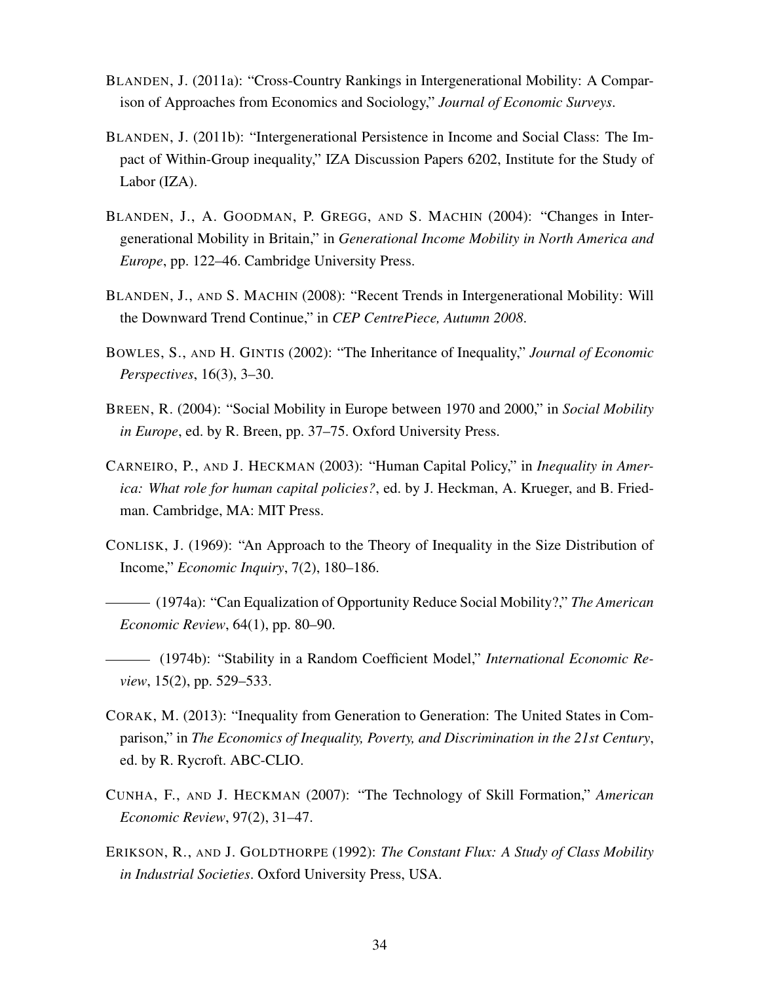- BLANDEN, J. (2011a): "Cross-Country Rankings in Intergenerational Mobility: A Comparison of Approaches from Economics and Sociology," *Journal of Economic Surveys*.
- BLANDEN, J. (2011b): "Intergenerational Persistence in Income and Social Class: The Impact of Within-Group inequality," IZA Discussion Papers 6202, Institute for the Study of Labor (IZA).
- BLANDEN, J., A. GOODMAN, P. GREGG, AND S. MACHIN (2004): "Changes in Intergenerational Mobility in Britain," in *Generational Income Mobility in North America and Europe*, pp. 122–46. Cambridge University Press.
- BLANDEN, J., AND S. MACHIN (2008): "Recent Trends in Intergenerational Mobility: Will the Downward Trend Continue," in *CEP CentrePiece, Autumn 2008*.
- BOWLES, S., AND H. GINTIS (2002): "The Inheritance of Inequality," *Journal of Economic Perspectives*, 16(3), 3–30.
- BREEN, R. (2004): "Social Mobility in Europe between 1970 and 2000," in *Social Mobility in Europe*, ed. by R. Breen, pp. 37–75. Oxford University Press.
- CARNEIRO, P., AND J. HECKMAN (2003): "Human Capital Policy," in *Inequality in America: What role for human capital policies?*, ed. by J. Heckman, A. Krueger, and B. Friedman. Cambridge, MA: MIT Press.
- CONLISK, J. (1969): "An Approach to the Theory of Inequality in the Size Distribution of Income," *Economic Inquiry*, 7(2), 180–186.
- (1974a): "Can Equalization of Opportunity Reduce Social Mobility?," *The American Economic Review*, 64(1), pp. 80–90.
- (1974b): "Stability in a Random Coefficient Model," *International Economic Review*, 15(2), pp. 529–533.
- CORAK, M. (2013): "Inequality from Generation to Generation: The United States in Comparison," in *The Economics of Inequality, Poverty, and Discrimination in the 21st Century*, ed. by R. Rycroft. ABC-CLIO.
- CUNHA, F., AND J. HECKMAN (2007): "The Technology of Skill Formation," *American Economic Review*, 97(2), 31–47.
- ERIKSON, R., AND J. GOLDTHORPE (1992): *The Constant Flux: A Study of Class Mobility in Industrial Societies*. Oxford University Press, USA.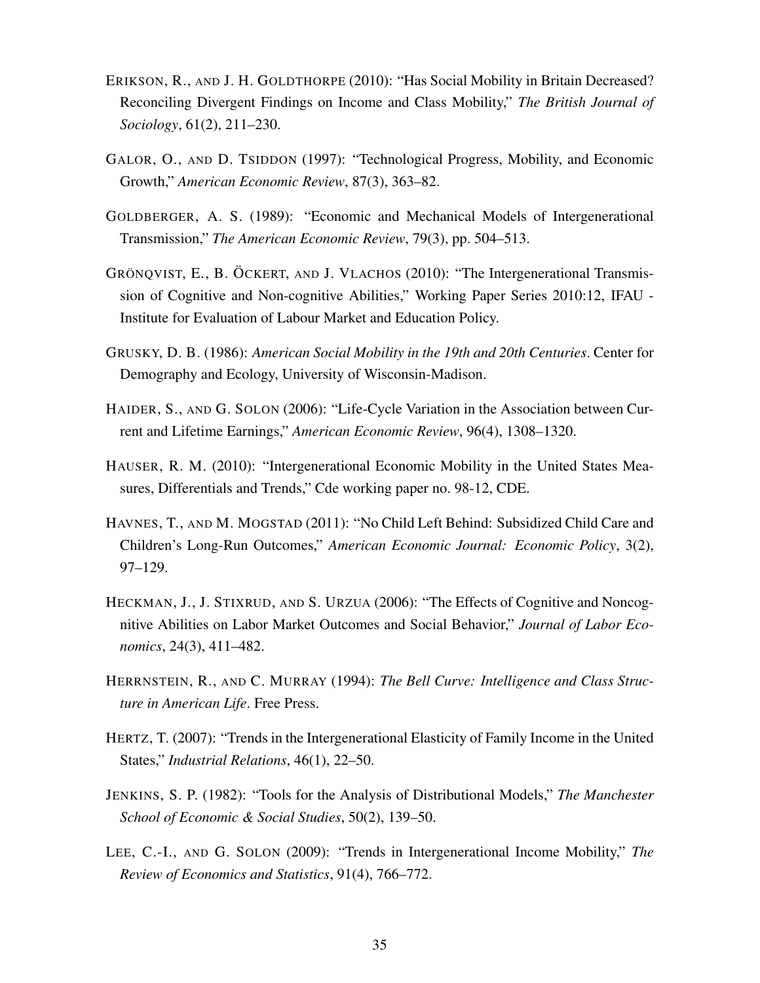- ERIKSON, R., AND J. H. GOLDTHORPE (2010): "Has Social Mobility in Britain Decreased? Reconciling Divergent Findings on Income and Class Mobility," *The British Journal of Sociology*, 61(2), 211–230.
- GALOR, O., AND D. TSIDDON (1997): "Technological Progress, Mobility, and Economic Growth," *American Economic Review*, 87(3), 363–82.
- GOLDBERGER, A. S. (1989): "Economic and Mechanical Models of Intergenerational Transmission," *The American Economic Review*, 79(3), pp. 504–513.
- GRÖNQVIST, E., B. ÖCKERT, AND J. VLACHOS (2010): "The Intergenerational Transmission of Cognitive and Non-cognitive Abilities," Working Paper Series 2010:12, IFAU - Institute for Evaluation of Labour Market and Education Policy.
- GRUSKY, D. B. (1986): *American Social Mobility in the 19th and 20th Centuries*. Center for Demography and Ecology, University of Wisconsin-Madison.
- HAIDER, S., AND G. SOLON (2006): "Life-Cycle Variation in the Association between Current and Lifetime Earnings," *American Economic Review*, 96(4), 1308–1320.
- HAUSER, R. M. (2010): "Intergenerational Economic Mobility in the United States Measures, Differentials and Trends," Cde working paper no. 98-12, CDE.
- HAVNES, T., AND M. MOGSTAD (2011): "No Child Left Behind: Subsidized Child Care and Children's Long-Run Outcomes," *American Economic Journal: Economic Policy*, 3(2), 97–129.
- HECKMAN, J., J. STIXRUD, AND S. URZUA (2006): "The Effects of Cognitive and Noncognitive Abilities on Labor Market Outcomes and Social Behavior," *Journal of Labor Economics*, 24(3), 411–482.
- HERRNSTEIN, R., AND C. MURRAY (1994): *The Bell Curve: Intelligence and Class Structure in American Life*. Free Press.
- HERTZ, T. (2007): "Trends in the Intergenerational Elasticity of Family Income in the United States," *Industrial Relations*, 46(1), 22–50.
- JENKINS, S. P. (1982): "Tools for the Analysis of Distributional Models," *The Manchester School of Economic & Social Studies*, 50(2), 139–50.
- LEE, C.-I., AND G. SOLON (2009): "Trends in Intergenerational Income Mobility," *The Review of Economics and Statistics*, 91(4), 766–772.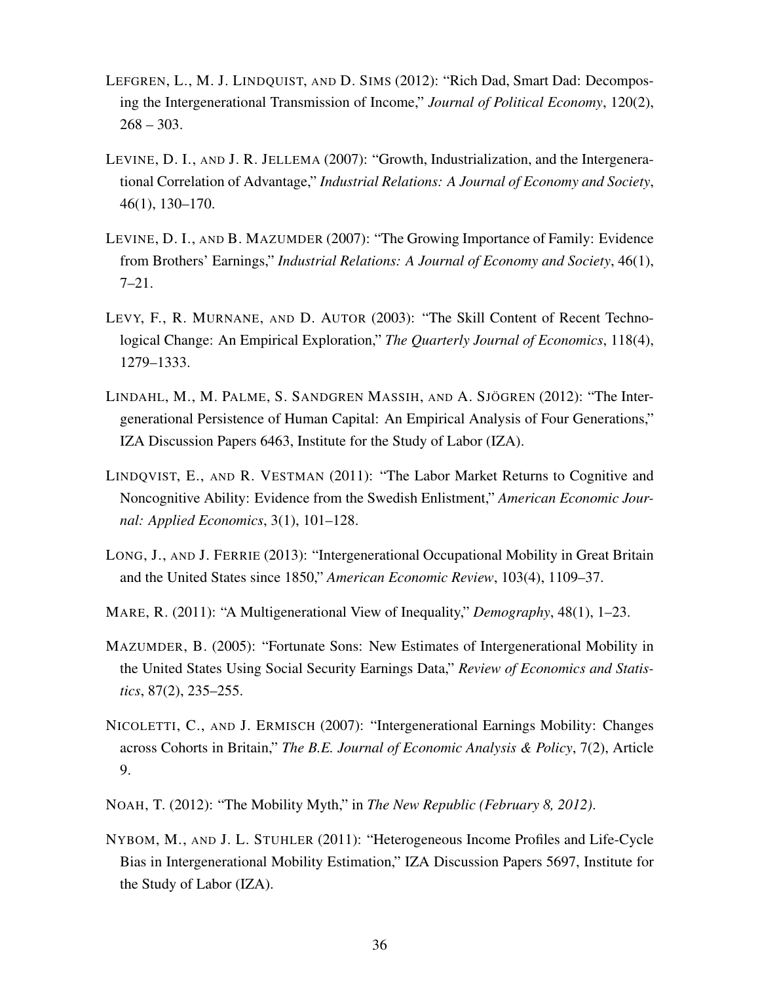- LEFGREN, L., M. J. LINDQUIST, AND D. SIMS (2012): "Rich Dad, Smart Dad: Decomposing the Intergenerational Transmission of Income," *Journal of Political Economy*, 120(2),  $268 - 303.$
- LEVINE, D. I., AND J. R. JELLEMA (2007): "Growth, Industrialization, and the Intergenerational Correlation of Advantage," *Industrial Relations: A Journal of Economy and Society*, 46(1), 130–170.
- LEVINE, D. I., AND B. MAZUMDER (2007): "The Growing Importance of Family: Evidence from Brothers' Earnings," *Industrial Relations: A Journal of Economy and Society*, 46(1),  $7 - 21$ .
- LEVY, F., R. MURNANE, AND D. AUTOR (2003): "The Skill Content of Recent Technological Change: An Empirical Exploration," *The Quarterly Journal of Economics*, 118(4), 1279–1333.
- LINDAHL, M., M. PALME, S. SANDGREN MASSIH, AND A. SJÖGREN (2012): "The Intergenerational Persistence of Human Capital: An Empirical Analysis of Four Generations," IZA Discussion Papers 6463, Institute for the Study of Labor (IZA).
- LINDQVIST, E., AND R. VESTMAN (2011): "The Labor Market Returns to Cognitive and Noncognitive Ability: Evidence from the Swedish Enlistment," *American Economic Journal: Applied Economics*, 3(1), 101–128.
- LONG, J., AND J. FERRIE (2013): "Intergenerational Occupational Mobility in Great Britain and the United States since 1850," *American Economic Review*, 103(4), 1109–37.
- MARE, R. (2011): "A Multigenerational View of Inequality," *Demography*, 48(1), 1–23.
- MAZUMDER, B. (2005): "Fortunate Sons: New Estimates of Intergenerational Mobility in the United States Using Social Security Earnings Data," *Review of Economics and Statistics*, 87(2), 235–255.
- NICOLETTI, C., AND J. ERMISCH (2007): "Intergenerational Earnings Mobility: Changes across Cohorts in Britain," *The B.E. Journal of Economic Analysis & Policy*, 7(2), Article 9.
- NOAH, T. (2012): "The Mobility Myth," in *The New Republic (February 8, 2012)*.
- NYBOM, M., AND J. L. STUHLER (2011): "Heterogeneous Income Profiles and Life-Cycle Bias in Intergenerational Mobility Estimation," IZA Discussion Papers 5697, Institute for the Study of Labor (IZA).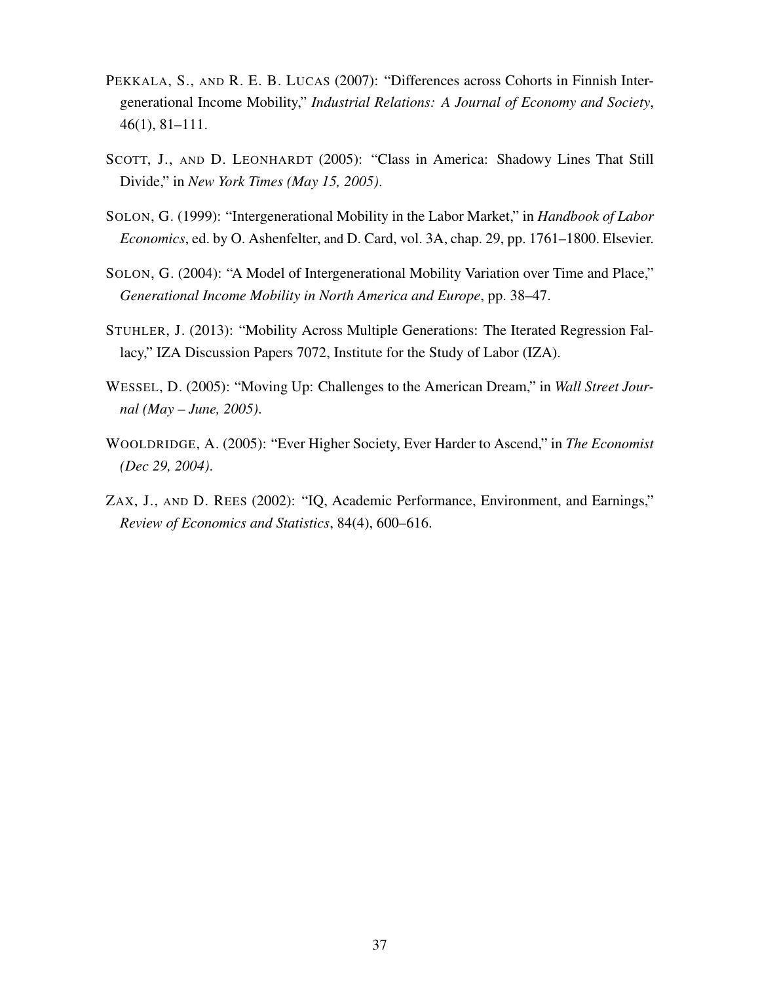- PEKKALA, S., AND R. E. B. LUCAS (2007): "Differences across Cohorts in Finnish Intergenerational Income Mobility," *Industrial Relations: A Journal of Economy and Society*, 46(1), 81–111.
- SCOTT, J., AND D. LEONHARDT (2005): "Class in America: Shadowy Lines That Still Divide," in *New York Times (May 15, 2005)*.
- SOLON, G. (1999): "Intergenerational Mobility in the Labor Market," in *Handbook of Labor Economics*, ed. by O. Ashenfelter, and D. Card, vol. 3A, chap. 29, pp. 1761–1800. Elsevier.
- SOLON, G. (2004): "A Model of Intergenerational Mobility Variation over Time and Place," *Generational Income Mobility in North America and Europe*, pp. 38–47.
- STUHLER, J. (2013): "Mobility Across Multiple Generations: The Iterated Regression Fallacy," IZA Discussion Papers 7072, Institute for the Study of Labor (IZA).
- WESSEL, D. (2005): "Moving Up: Challenges to the American Dream," in *Wall Street Journal (May – June, 2005)*.
- WOOLDRIDGE, A. (2005): "Ever Higher Society, Ever Harder to Ascend," in *The Economist (Dec 29, 2004)*.
- ZAX, J., AND D. REES (2002): "IQ, Academic Performance, Environment, and Earnings," *Review of Economics and Statistics*, 84(4), 600–616.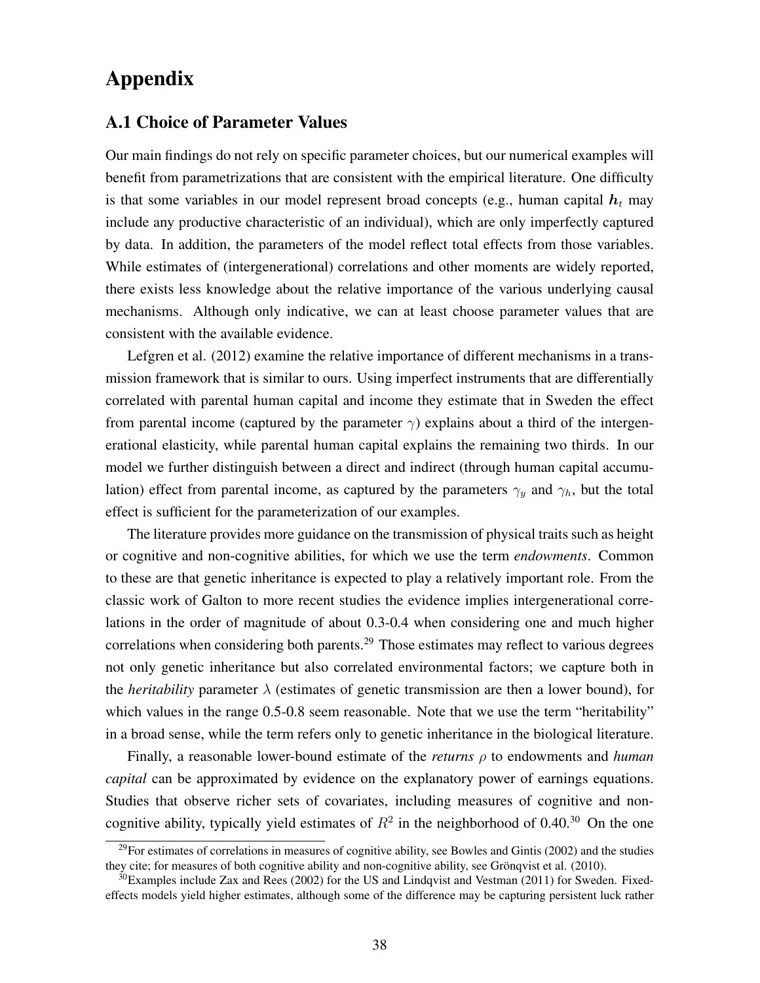# Appendix

#### A.1 Choice of Parameter Values

Our main findings do not rely on specific parameter choices, but our numerical examples will benefit from parametrizations that are consistent with the empirical literature. One difficulty is that some variables in our model represent broad concepts (e.g., human capital  $h_t$  may include any productive characteristic of an individual), which are only imperfectly captured by data. In addition, the parameters of the model reflect total effects from those variables. While estimates of (intergenerational) correlations and other moments are widely reported, there exists less knowledge about the relative importance of the various underlying causal mechanisms. Although only indicative, we can at least choose parameter values that are consistent with the available evidence.

Lefgren et al. (2012) examine the relative importance of different mechanisms in a transmission framework that is similar to ours. Using imperfect instruments that are differentially correlated with parental human capital and income they estimate that in Sweden the effect from parental income (captured by the parameter  $\gamma$ ) explains about a third of the intergenerational elasticity, while parental human capital explains the remaining two thirds. In our model we further distinguish between a direct and indirect (through human capital accumulation) effect from parental income, as captured by the parameters  $\gamma_y$  and  $\gamma_h$ , but the total effect is sufficient for the parameterization of our examples.

The literature provides more guidance on the transmission of physical traits such as height or cognitive and non-cognitive abilities, for which we use the term *endowments*. Common to these are that genetic inheritance is expected to play a relatively important role. From the classic work of Galton to more recent studies the evidence implies intergenerational correlations in the order of magnitude of about 0.3-0.4 when considering one and much higher correlations when considering both parents.<sup>29</sup> Those estimates may reflect to various degrees not only genetic inheritance but also correlated environmental factors; we capture both in the *heritability* parameter  $\lambda$  (estimates of genetic transmission are then a lower bound), for which values in the range 0.5-0.8 seem reasonable. Note that we use the term "heritability" in a broad sense, while the term refers only to genetic inheritance in the biological literature.

Finally, a reasonable lower-bound estimate of the *returns* ρ to endowments and *human capital* can be approximated by evidence on the explanatory power of earnings equations. Studies that observe richer sets of covariates, including measures of cognitive and noncognitive ability, typically yield estimates of  $R^2$  in the neighborhood of 0.40.<sup>30</sup> On the one

 $^{29}$ For estimates of correlations in measures of cognitive ability, see Bowles and Gintis (2002) and the studies they cite; for measures of both cognitive ability and non-cognitive ability, see Grönqvist et al. (2010).

 $30$ Examples include Zax and Rees (2002) for the US and Lindqvist and Vestman (2011) for Sweden. Fixedeffects models yield higher estimates, although some of the difference may be capturing persistent luck rather